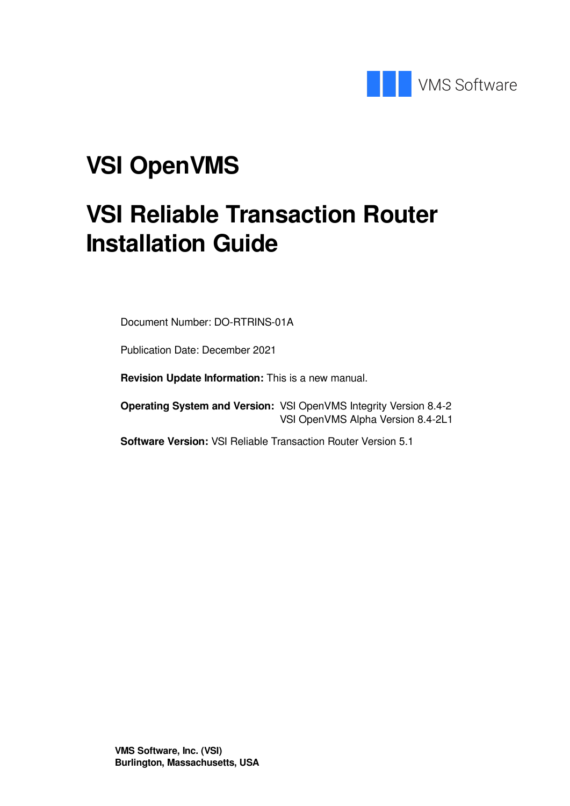

# **VSI OpenVMS**

# **VSI Reliable Transaction Router Installation Guide**

Document Number: DO-RTRINS-01A

Publication Date: December 2021

**Revision Update Information:** This is a new manual.

**Operating System and Version:** VSI OpenVMS Integrity Version 8.4-2 VSI OpenVMS Alpha Version 8.4-2L1

**Software Version:** VSI Reliable Transaction Router Version 5.1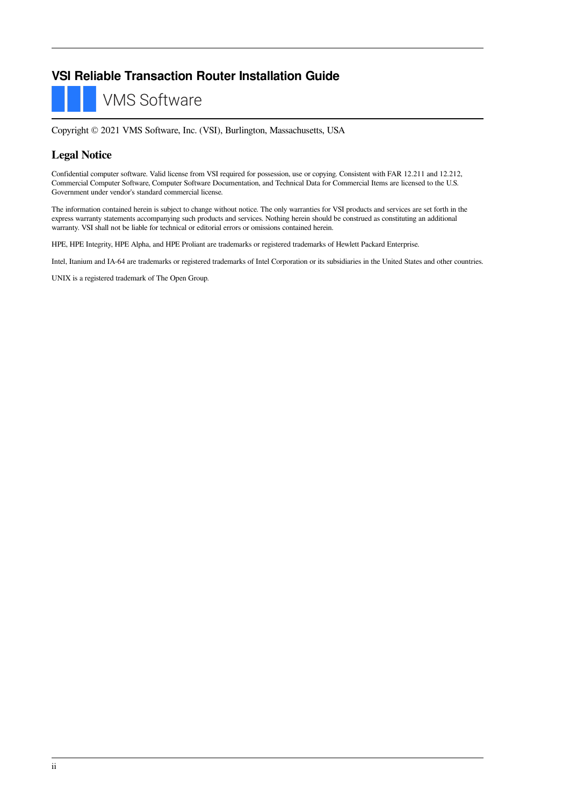### **VSI Reliable Transaction Router Installation Guide**

**VMS Software** 

Copyright © 2021 VMS Software, Inc. (VSI), Burlington, Massachusetts, USA

#### **Legal Notice**

Confidential computer software. Valid license from VSI required for possession, use or copying. Consistent with FAR 12.211 and 12.212, Commercial Computer Software, Computer Software Documentation, and Technical Data for Commercial Items are licensed to the U.S. Government under vendor's standard commercial license.

The information contained herein is subject to change without notice. The only warranties for VSI products and services are set forth in the express warranty statements accompanying such products and services. Nothing herein should be construed as constituting an additional warranty. VSI shall not be liable for technical or editorial errors or omissions contained herein.

HPE, HPE Integrity, HPE Alpha, and HPE Proliant are trademarks or registered trademarks of Hewlett Packard Enterprise.

Intel, Itanium and IA-64 are trademarks or registered trademarks of Intel Corporation or its subsidiaries in the United States and other countries.

UNIX is a registered trademark of The Open Group.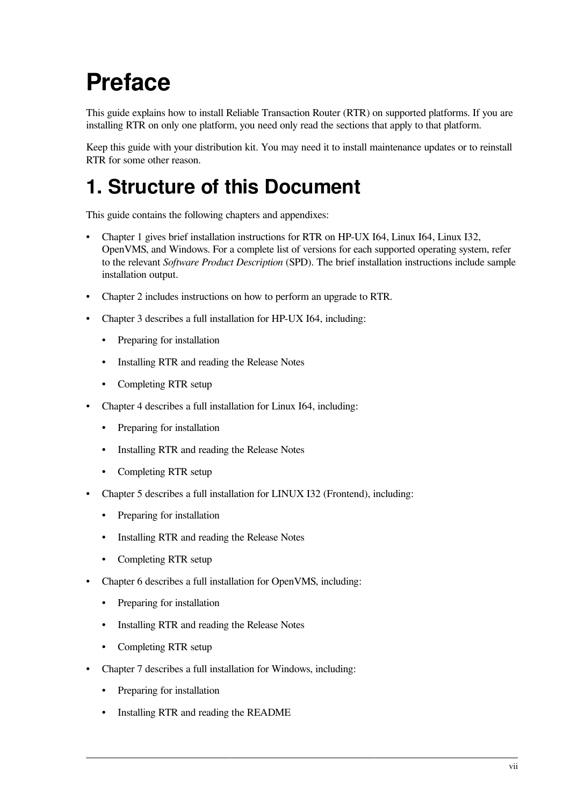# <span id="page-6-0"></span>**Preface**

This guide explains how to install Reliable Transaction Router (RTR) on supported platforms. If you are installing RTR on only one platform, you need only read the sections that apply to that platform.

Keep this guide with your distribution kit. You may need it to install maintenance updates or to reinstall RTR for some other reason.

## <span id="page-6-1"></span>**1. Structure of this Document**

This guide contains the following chapters and appendixes:

- [Chapter](#page-10-0) 1 gives brief installation instructions for RTR on HP-UX I64, Linux I64, Linux I32, OpenVMS, and Windows. For a complete list of versions for each supported operating system, refer to the relevant *Software Product Description* (SPD). The brief installation instructions include sample installation output.
- [Chapter](#page-16-0) 2 includes instructions on how to perform an upgrade to RTR.
- [Chapter](#page-18-0) 3 describes a full installation for HP-UX I64, including:
	- Preparing for installation
	- Installing RTR and reading the Release Notes
	- Completing RTR setup
- [Chapter](#page-24-0) 4 describes a full installation for Linux I64, including:
	- Preparing for installation
	- Installing RTR and reading the Release Notes
	- Completing RTR setup
- [Chapter](#page-30-0) 5 describes a full installation for LINUX I32 (Frontend), including:
	- Preparing for installation
	- Installing RTR and reading the Release Notes
	- Completing RTR setup
- [Chapter](#page-36-0) 6 describes a full installation for OpenVMS, including:
	- Preparing for installation
	- Installing RTR and reading the Release Notes
	- Completing RTR setup
- [Chapter](#page-46-0) 7 describes a full installation for Windows, including:
	- Preparing for installation
	- Installing RTR and reading the README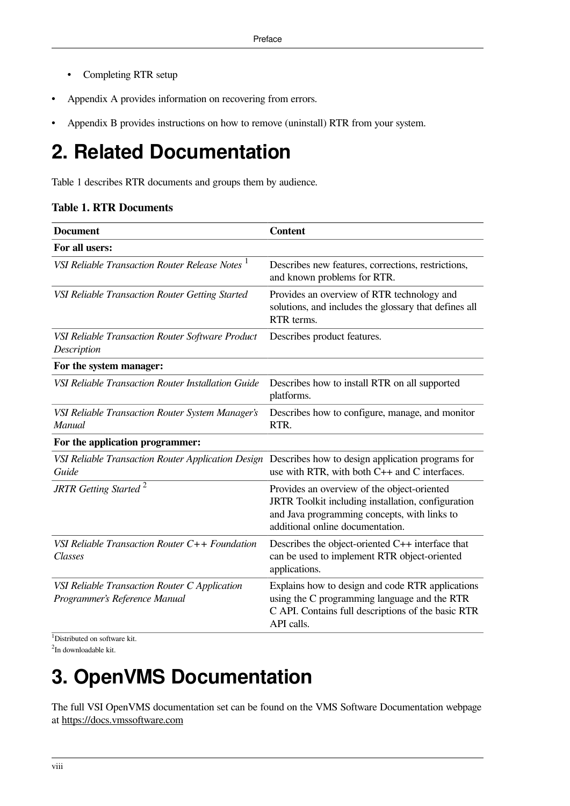- Completing RTR setup
- Appendix A provides information on recovering from errors.
- Appendix B provides instructions on how to remove (uninstall) RTR from your system.

## <span id="page-7-0"></span>**2. Related Documentation**

<span id="page-7-2"></span>[Table](#page-7-2) 1 describes RTR documents and groups them by audience.

#### **Table 1. RTR Documents**

| <b>Document</b>                                                                | <b>Content</b>                                                                                                                                                                        |
|--------------------------------------------------------------------------------|---------------------------------------------------------------------------------------------------------------------------------------------------------------------------------------|
| For all users:                                                                 |                                                                                                                                                                                       |
| VSI Reliable Transaction Router Release Notes <sup>1</sup>                     | Describes new features, corrections, restrictions,<br>and known problems for RTR.                                                                                                     |
| VSI Reliable Transaction Router Getting Started                                | Provides an overview of RTR technology and<br>solutions, and includes the glossary that defines all<br>RTR terms.                                                                     |
| VSI Reliable Transaction Router Software Product<br>Description                | Describes product features.                                                                                                                                                           |
| For the system manager:                                                        |                                                                                                                                                                                       |
| VSI Reliable Transaction Router Installation Guide                             | Describes how to install RTR on all supported<br>platforms.                                                                                                                           |
| VSI Reliable Transaction Router System Manager's<br>Manual                     | Describes how to configure, manage, and monitor<br>RTR.                                                                                                                               |
| For the application programmer:                                                |                                                                                                                                                                                       |
| VSI Reliable Transaction Router Application Design<br>Guide                    | Describes how to design application programs for<br>use with RTR, with both C++ and C interfaces.                                                                                     |
| JRTR Getting Started <sup>2</sup>                                              | Provides an overview of the object-oriented<br>JRTR Toolkit including installation, configuration<br>and Java programming concepts, with links to<br>additional online documentation. |
| VSI Reliable Transaction Router $C++$ Foundation<br>Classes                    | Describes the object-oriented C++ interface that<br>can be used to implement RTR object-oriented<br>applications.                                                                     |
| VSI Reliable Transaction Router C Application<br>Programmer's Reference Manual | Explains how to design and code RTR applications<br>using the C programming language and the RTR<br>C API. Contains full descriptions of the basic RTR<br>API calls.                  |

<sup>1</sup>Distributed on software kit.

<span id="page-7-1"></span><sup>2</sup>In downloadable kit.

## **3. OpenVMS Documentation**

The full VSI OpenVMS documentation set can be found on the VMS Software Documentation webpage at <https://docs.vmssoftware.com>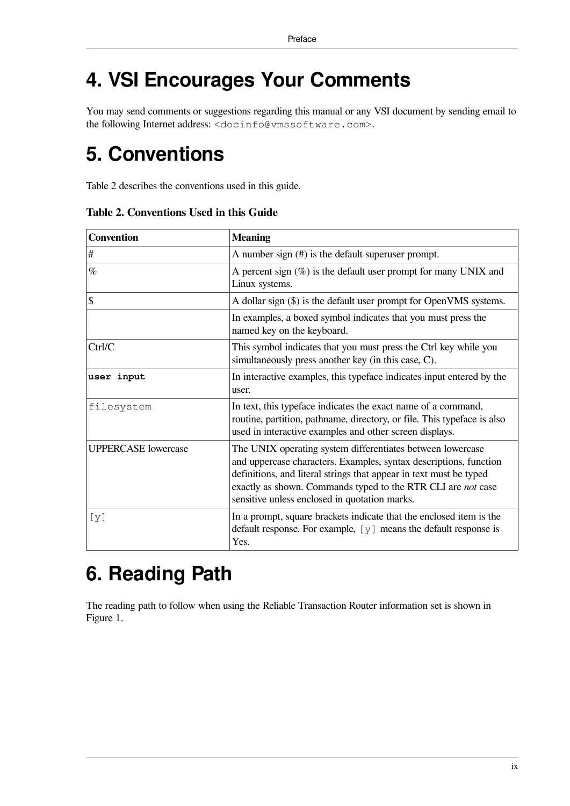## <span id="page-8-0"></span>**4. VSI Encourages Your Comments**

You may send comments or suggestions regarding this manual or any VSI document by sending email to the following Internet address: <docinfo@vmssoftware.com>.

## <span id="page-8-1"></span>**5. Conventions**

<span id="page-8-3"></span>[Table](#page-8-3) 2 describes the conventions used in this guide.

| <b>Convention</b>          | <b>Meaning</b>                                                                                                                                                                                                                                                                                                         |
|----------------------------|------------------------------------------------------------------------------------------------------------------------------------------------------------------------------------------------------------------------------------------------------------------------------------------------------------------------|
| $\#$                       | A number sign $(\#)$ is the default superuser prompt.                                                                                                                                                                                                                                                                  |
| $\%$                       | A percent sign $(\%)$ is the default user prompt for many UNIX and<br>Linux systems.                                                                                                                                                                                                                                   |
| $\mathcal{S}$              | A dollar sign (\$) is the default user prompt for OpenVMS systems.                                                                                                                                                                                                                                                     |
|                            | In examples, a boxed symbol indicates that you must press the<br>named key on the keyboard.                                                                                                                                                                                                                            |
| Ctrl/C                     | This symbol indicates that you must press the Ctrl key while you<br>simultaneously press another key (in this case, C).                                                                                                                                                                                                |
| user input                 | In interactive examples, this typeface indicates input entered by the<br>user.                                                                                                                                                                                                                                         |
| filesystem                 | In text, this typeface indicates the exact name of a command,<br>routine, partition, pathname, directory, or file. This typeface is also<br>used in interactive examples and other screen displays.                                                                                                                    |
| <b>UPPERCASE</b> lowercase | The UNIX operating system differentiates between lowercase<br>and uppercase characters. Examples, syntax descriptions, function<br>definitions, and literal strings that appear in text must be typed<br>exactly as shown. Commands typed to the RTR CLI are not case<br>sensitive unless enclosed in quotation marks. |
| [y]                        | In a prompt, square brackets indicate that the enclosed item is the<br>default response. For example, $[y]$ means the default response is<br>Yes.                                                                                                                                                                      |

**Table 2. Conventions Used in this Guide**

## <span id="page-8-2"></span>**6. Reading Path**

The reading path to follow when using the Reliable Transaction Router information set is shown in [Figure](#page-9-0) 1.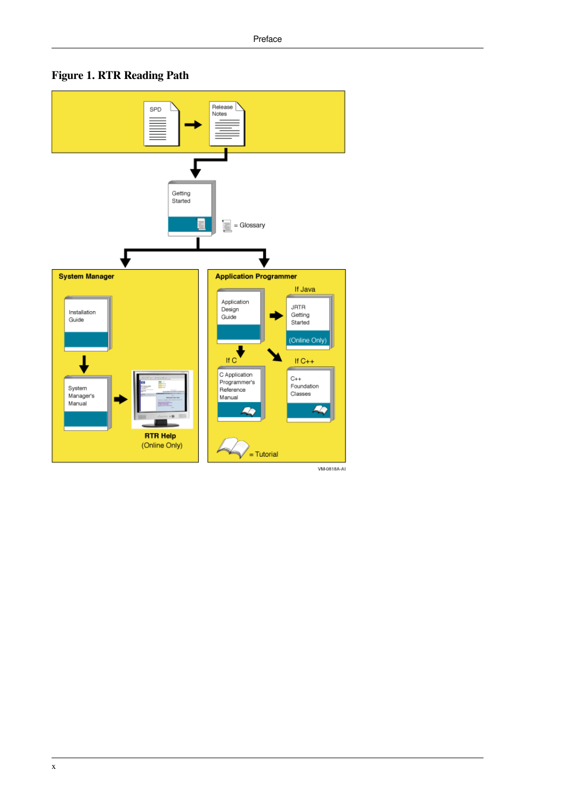<span id="page-9-0"></span>



VM-0818A-AI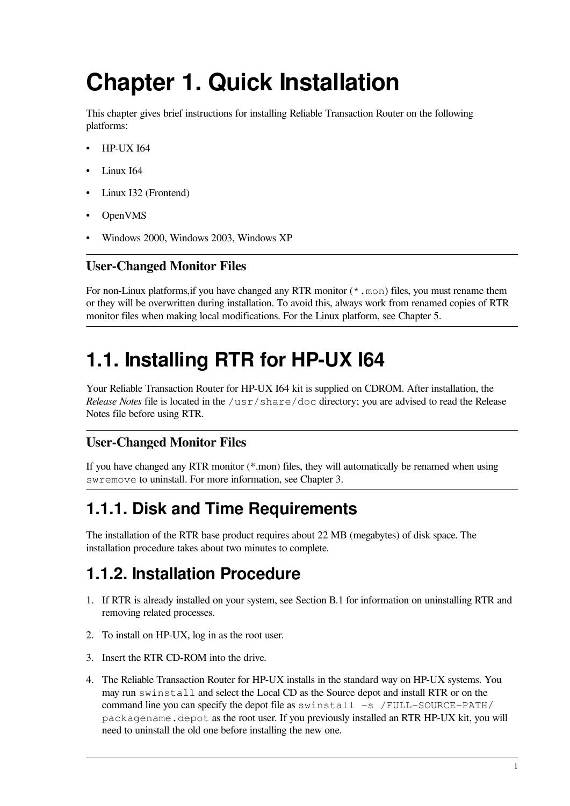# <span id="page-10-0"></span>**Chapter 1. Quick Installation**

This chapter gives brief instructions for installing Reliable Transaction Router on the following platforms:

- HP-UX I64
- Linux I64
- Linux I32 (Frontend)
- OpenVMS
- Windows 2000, Windows 2003, Windows XP

#### **User-Changed Monitor Files**

For non-Linux platforms, if you have changed any RTR monitor  $(* \cdot \text{mon})$  files, you must rename them or they will be overwritten during installation. To avoid this, always work from renamed copies of RTR monitor files when making local modifications. For the Linux platform, see [Chapter](#page-30-0) 5.

## <span id="page-10-1"></span>**1.1. Installing RTR for HP-UX I64**

Your Reliable Transaction Router for HP-UX I64 kit is supplied on CDROM. After installation, the *Release Notes* file is located in the /usr/share/doc directory; you are advised to read the Release Notes file before using RTR.

#### **User-Changed Monitor Files**

If you have changed any RTR monitor (\*.mon) files, they will automatically be renamed when using swremove to uninstall. For more information, see [Chapter](#page-18-0) 3.

## <span id="page-10-2"></span>**1.1.1. Disk and Time Requirements**

The installation of the RTR base product requires about 22 MB (megabytes) of disk space. The installation procedure takes about two minutes to complete.

### <span id="page-10-3"></span>**1.1.2. Installation Procedure**

- 1. If RTR is already installed on your system, see [Section](#page-54-1) B.1 for information on uninstalling RTR and removing related processes.
- 2. To install on HP-UX, log in as the root user.
- 3. Insert the RTR CD-ROM into the drive.
- 4. The Reliable Transaction Router for HP-UX installs in the standard way on HP-UX systems. You may run swinstall and select the Local CD as the Source depot and install RTR or on the command line you can specify the depot file as swinstall  $-s$  /FULL-SOURCE-PATH/ packagename.depot as the root user. If you previously installed an RTR HP-UX kit, you will need to uninstall the old one before installing the new one.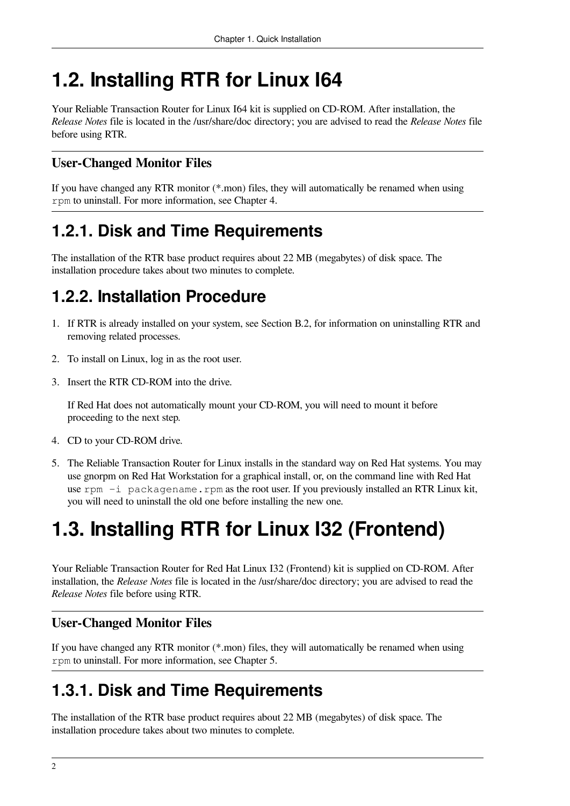## <span id="page-11-0"></span>**1.2. Installing RTR for Linux I64**

Your Reliable Transaction Router for Linux I64 kit is supplied on CD-ROM. After installation, the *Release Notes* file is located in the /usr/share/doc directory; you are advised to read the *Release Notes* file before using RTR.

### **User-Changed Monitor Files**

If you have changed any RTR monitor (\*.mon) files, they will automatically be renamed when using rpm to uninstall. For more information, see [Chapter](#page-24-0) 4.

## <span id="page-11-1"></span>**1.2.1. Disk and Time Requirements**

The installation of the RTR base product requires about 22 MB (megabytes) of disk space. The installation procedure takes about two minutes to complete.

## <span id="page-11-2"></span>**1.2.2. Installation Procedure**

- 1. If RTR is already installed on your system, see [Section](#page-55-0) B.2, for information on uninstalling RTR and removing related processes.
- 2. To install on Linux, log in as the root user.
- 3. Insert the RTR CD-ROM into the drive.

If Red Hat does not automatically mount your CD-ROM, you will need to mount it before proceeding to the next step.

- 4. CD to your CD-ROM drive.
- 5. The Reliable Transaction Router for Linux installs in the standard way on Red Hat systems. You may use gnorpm on Red Hat Workstation for a graphical install, or, on the command line with Red Hat use rpm  $-i$  packagename.rpm as the root user. If you previously installed an RTR Linux kit, you will need to uninstall the old one before installing the new one.

## <span id="page-11-3"></span>**1.3. Installing RTR for Linux I32 (Frontend)**

Your Reliable Transaction Router for Red Hat Linux I32 (Frontend) kit is supplied on CD-ROM. After installation, the *Release Notes* file is located in the /usr/share/doc directory; you are advised to read the *Release Notes* file before using RTR.

#### **User-Changed Monitor Files**

If you have changed any RTR monitor (\*.mon) files, they will automatically be renamed when using rpm to uninstall. For more information, see [Chapter](#page-30-0) 5.

## <span id="page-11-4"></span>**1.3.1. Disk and Time Requirements**

The installation of the RTR base product requires about 22 MB (megabytes) of disk space. The installation procedure takes about two minutes to complete.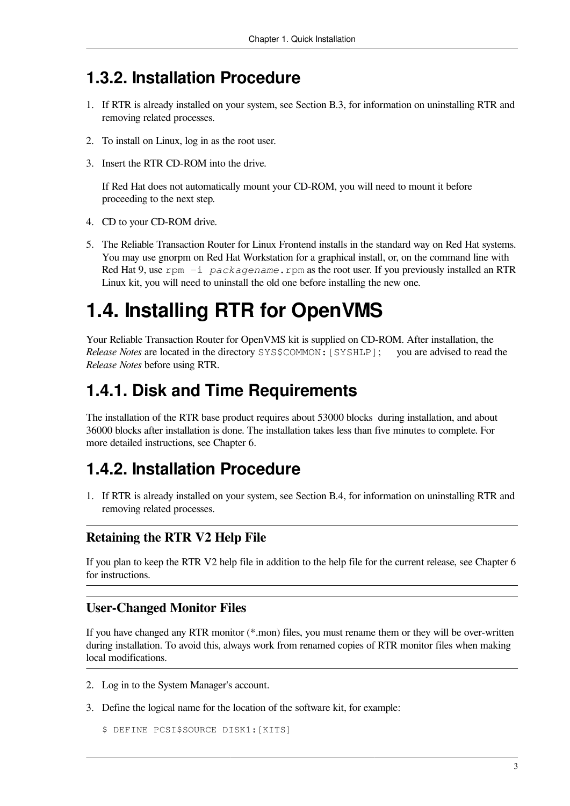### <span id="page-12-0"></span>**1.3.2. Installation Procedure**

- 1. If RTR is already installed on your system, see [Section](#page-55-1) B.3, for information on uninstalling RTR and removing related processes.
- 2. To install on Linux, log in as the root user.
- 3. Insert the RTR CD-ROM into the drive.

If Red Hat does not automatically mount your CD-ROM, you will need to mount it before proceeding to the next step.

- 4. CD to your CD-ROM drive.
- 5. The Reliable Transaction Router for Linux Frontend installs in the standard way on Red Hat systems. You may use gnorpm on Red Hat Workstation for a graphical install, or, on the command line with Red Hat 9, use rpm  $-i$  *packagename*.rpm as the root user. If you previously installed an RTR Linux kit, you will need to uninstall the old one before installing the new one.

## <span id="page-12-1"></span>**1.4. Installing RTR for OpenVMS**

Your Reliable Transaction Router for OpenVMS kit is supplied on CD-ROM. After installation, the Release Notes are located in the directory SYSSCOMMON: [SYSHLP]: vou are advised to read the *Release Notes* are located in the directory SYS\$COMMON: [SYSHLP]; *Release Notes* before using RTR.

### <span id="page-12-2"></span>**1.4.1. Disk and Time Requirements**

The installation of the RTR base product requires about 53000 blocks during installation, and about 36000 blocks after installation is done. The installation takes less than five minutes to complete. For more detailed instructions, see [Chapter](#page-36-0) 6.

### <span id="page-12-3"></span>**1.4.2. Installation Procedure**

1. If RTR is already installed on your system, see [Section](#page-55-2) B.4, for information on uninstalling RTR and removing related processes.

#### **Retaining the RTR V2 Help File**

If you plan to keep the RTR V2 help file in addition to the help file for the current release, see [Chapter](#page-36-0) 6 for instructions.

#### **User-Changed Monitor Files**

If you have changed any RTR monitor (\*.mon) files, you must rename them or they will be over-written during installation. To avoid this, always work from renamed copies of RTR monitor files when making local modifications.

- 2. Log in to the System Manager's account.
- 3. Define the logical name for the location of the software kit, for example:

```
$ DEFINE PCSI$SOURCE DISK1:[KITS]
```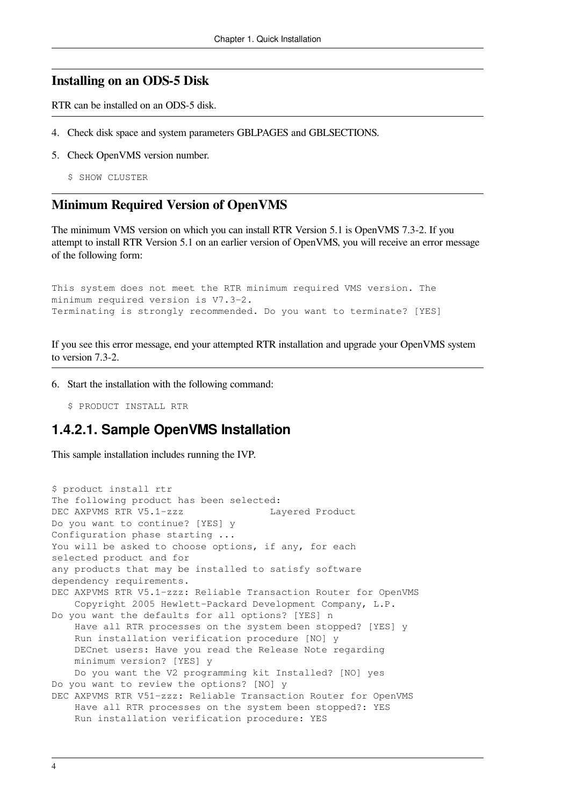#### **Installing on an ODS-5 Disk**

RTR can be installed on an ODS-5 disk.

- 4. Check disk space and system parameters GBLPAGES and GBLSECTIONS.
- 5. Check OpenVMS version number.
	- \$ SHOW CLUSTER

#### **Minimum Required Version of OpenVMS**

The minimum VMS version on which you can install RTR Version 5.1 is OpenVMS 7.3-2. If you attempt to install RTR Version 5.1 on an earlier version of OpenVMS, you will receive an error message of the following form:

This system does not meet the RTR minimum required VMS version. The minimum required version is V7.3-2. Terminating is strongly recommended. Do you want to terminate? [YES]

If you see this error message, end your attempted RTR installation and upgrade your OpenVMS system to version 7.3-2.

6. Start the installation with the following command:

\$ PRODUCT INSTALL RTR

#### <span id="page-13-0"></span>**1.4.2.1. Sample OpenVMS Installation**

This sample installation includes running the IVP.

```
$ product install rtr
The following product has been selected:
DEC AXPVMS RTR V5.1-zzz Layered Product
Do you want to continue? [YES] y
Configuration phase starting ...
You will be asked to choose options, if any, for each
selected product and for
any products that may be installed to satisfy software
dependency requirements.
DEC AXPVMS RTR V5.1-zzz: Reliable Transaction Router for OpenVMS
    Copyright 2005 Hewlett-Packard Development Company, L.P.
Do you want the defaults for all options? [YES] n
     Have all RTR processes on the system been stopped? [YES] y
     Run installation verification procedure [NO] y
     DECnet users: Have you read the Release Note regarding
    minimum version? [YES] y
    Do you want the V2 programming kit Installed? [NO] yes
Do you want to review the options? [NO] y
DEC AXPVMS RTR V51-zzz: Reliable Transaction Router for OpenVMS
     Have all RTR processes on the system been stopped?: YES
     Run installation verification procedure: YES
```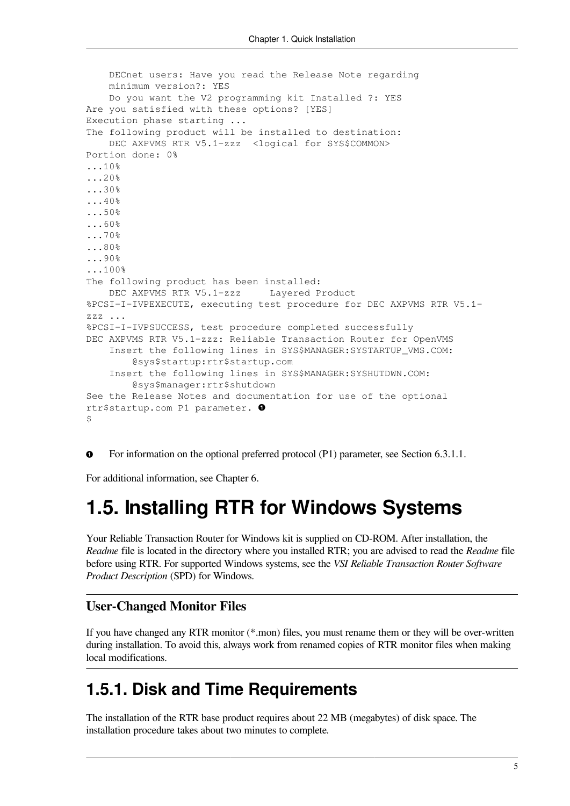```
 DECnet users: Have you read the Release Note regarding
     minimum version?: YES
     Do you want the V2 programming kit Installed ?: YES
Are you satisfied with these options? [YES]
Execution phase starting ...
The following product will be installed to destination:
    DEC AXPVMS RTR V5.1-zzz <logical for SYS$COMMON>
Portion done: 0%
...10%
...20%
...30%
...40%
...50%
...60%
...70%
...80%
...90%
...100%
The following product has been installed:
   DEC AXPVMS RTR V5.1-zzz Layered Product
%PCSI-I-IVPEXECUTE, executing test procedure for DEC AXPVMS RTR V5.1-
zzz ...
%PCSI-I-IVPSUCCESS, test procedure completed successfully
DEC AXPVMS RTR V5.1-zzz: Reliable Transaction Router for OpenVMS
     Insert the following lines in SYS$MANAGER:SYSTARTUP_VMS.COM:
         @sys$startup:rtr$startup.com
     Insert the following lines in SYS$MANAGER:SYSHUTDWN.COM:
         @sys$manager:rtr$shutdown
See the Release Notes and documentation for use of the optional
rtr$startup.com P1 parameter. 
$
```
 $\bullet$ For information on the optional preferred protocol (P1) parameter, see [Section](#page-41-1) 6.3.1.1.

<span id="page-14-0"></span>For additional information, see [Chapter](#page-36-0) 6.

## **1.5. Installing RTR for Windows Systems**

Your Reliable Transaction Router for Windows kit is supplied on CD-ROM. After installation, the *Readme* file is located in the directory where you installed RTR; you are advised to read the *Readme* file before using RTR. For supported Windows systems, see the *VSI Reliable Transaction Router Software Product Description* (SPD) for Windows.

#### **User-Changed Monitor Files**

If you have changed any RTR monitor (\*.mon) files, you must rename them or they will be over-written during installation. To avoid this, always work from renamed copies of RTR monitor files when making local modifications.

### <span id="page-14-1"></span>**1.5.1. Disk and Time Requirements**

The installation of the RTR base product requires about 22 MB (megabytes) of disk space. The installation procedure takes about two minutes to complete.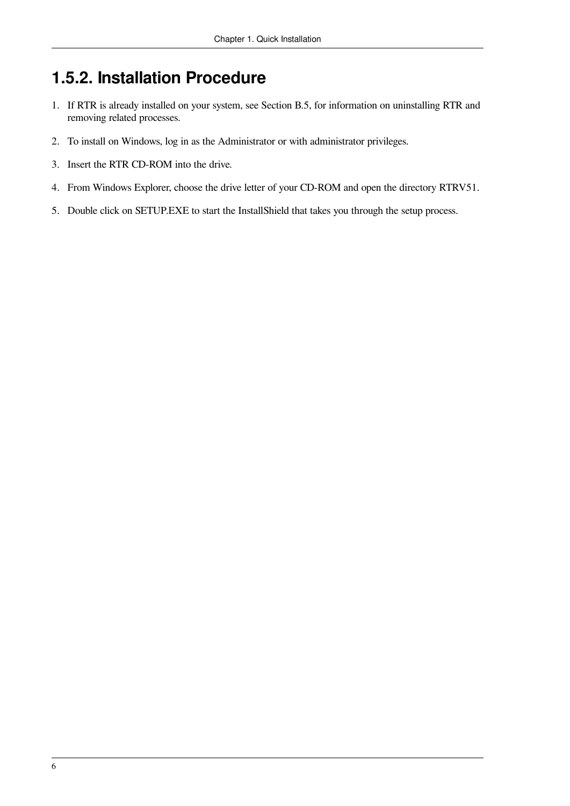## <span id="page-15-0"></span>**1.5.2. Installation Procedure**

- 1. If RTR is already installed on your system, see [Section](#page-56-0) B.5, for information on uninstalling RTR and removing related processes.
- 2. To install on Windows, log in as the Administrator or with administrator privileges.
- 3. Insert the RTR CD-ROM into the drive.
- 4. From Windows Explorer, choose the drive letter of your CD-ROM and open the directory RTRV51.
- 5. Double click on SETUP.EXE to start the InstallShield that takes you through the setup process.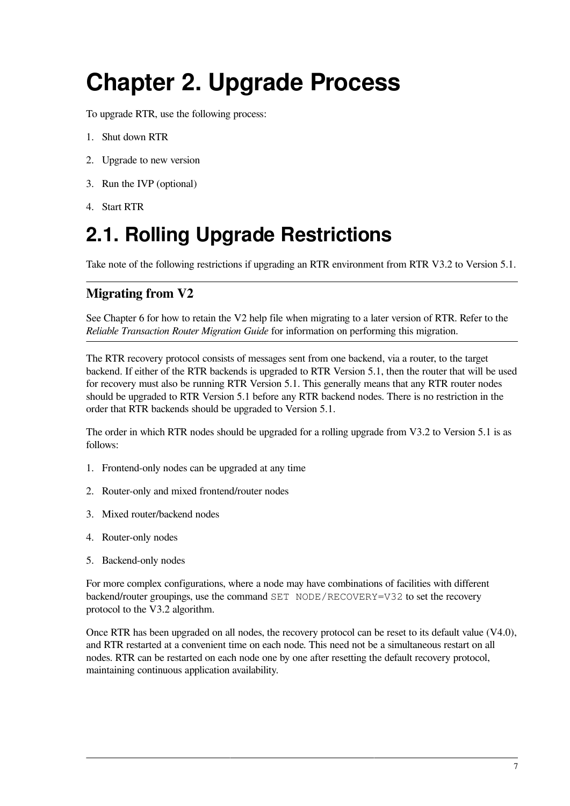# <span id="page-16-0"></span>**Chapter 2. Upgrade Process**

To upgrade RTR, use the following process:

- 1. Shut down RTR
- 2. Upgrade to new version
- 3. Run the IVP (optional)
- 4. Start RTR

## <span id="page-16-1"></span>**2.1. Rolling Upgrade Restrictions**

Take note of the following restrictions if upgrading an RTR environment from RTR V3.2 to Version 5.1.

#### **Migrating from V2**

See [Chapter](#page-36-0) 6 for how to retain the V2 help file when migrating to a later version of RTR. Refer to the *Reliable Transaction Router Migration Guide* for information on performing this migration.

The RTR recovery protocol consists of messages sent from one backend, via a router, to the target backend. If either of the RTR backends is upgraded to RTR Version 5.1, then the router that will be used for recovery must also be running RTR Version 5.1. This generally means that any RTR router nodes should be upgraded to RTR Version 5.1 before any RTR backend nodes. There is no restriction in the order that RTR backends should be upgraded to Version 5.1.

The order in which RTR nodes should be upgraded for a rolling upgrade from V3.2 to Version 5.1 is as follows:

- 1. Frontend-only nodes can be upgraded at any time
- 2. Router-only and mixed frontend/router nodes
- 3. Mixed router/backend nodes
- 4. Router-only nodes
- 5. Backend-only nodes

For more complex configurations, where a node may have combinations of facilities with different backend/router groupings, use the command SET NODE/RECOVERY=V32 to set the recovery protocol to the V3.2 algorithm.

Once RTR has been upgraded on all nodes, the recovery protocol can be reset to its default value (V4.0), and RTR restarted at a convenient time on each node. This need not be a simultaneous restart on all nodes. RTR can be restarted on each node one by one after resetting the default recovery protocol, maintaining continuous application availability.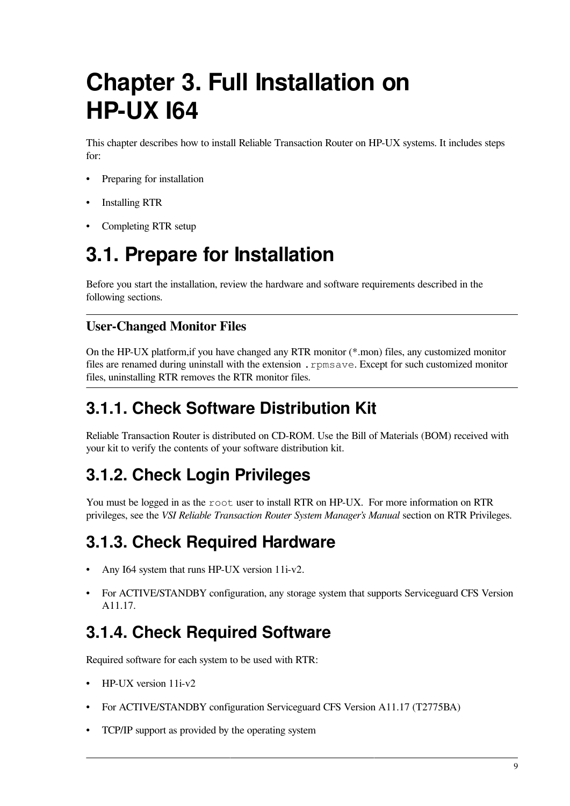# <span id="page-18-0"></span>**Chapter 3. Full Installation on HP-UX I64**

This chapter describes how to install Reliable Transaction Router on HP-UX systems. It includes steps for:

- Preparing for installation
- Installing RTR
- Completing RTR setup

## <span id="page-18-1"></span>**3.1. Prepare for Installation**

Before you start the installation, review the hardware and software requirements described in the following sections.

#### **User-Changed Monitor Files**

On the HP-UX platform,if you have changed any RTR monitor (\*.mon) files, any customized monitor files are renamed during uninstall with the extension .rpmsave. Except for such customized monitor files, uninstalling RTR removes the RTR monitor files.

## <span id="page-18-2"></span>**3.1.1. Check Software Distribution Kit**

Reliable Transaction Router is distributed on CD-ROM. Use the Bill of Materials (BOM) received with your kit to verify the contents of your software distribution kit.

## <span id="page-18-3"></span>**3.1.2. Check Login Privileges**

You must be logged in as the root user to install RTR on HP-UX. For more information on RTR privileges, see the *VSI Reliable Transaction Router System Manager's Manual* section on RTR Privileges.

## <span id="page-18-4"></span>**3.1.3. Check Required Hardware**

- Any I64 system that runs HP-UX version 11i-v2.
- For ACTIVE/STANDBY configuration, any storage system that supports Serviceguard CFS Version A11.17.

## <span id="page-18-5"></span>**3.1.4. Check Required Software**

Required software for each system to be used with RTR:

- HP-UX version 11i-v2
- For ACTIVE/STANDBY configuration Serviceguard CFS Version A11.17 (T2775BA)
- TCP/IP support as provided by the operating system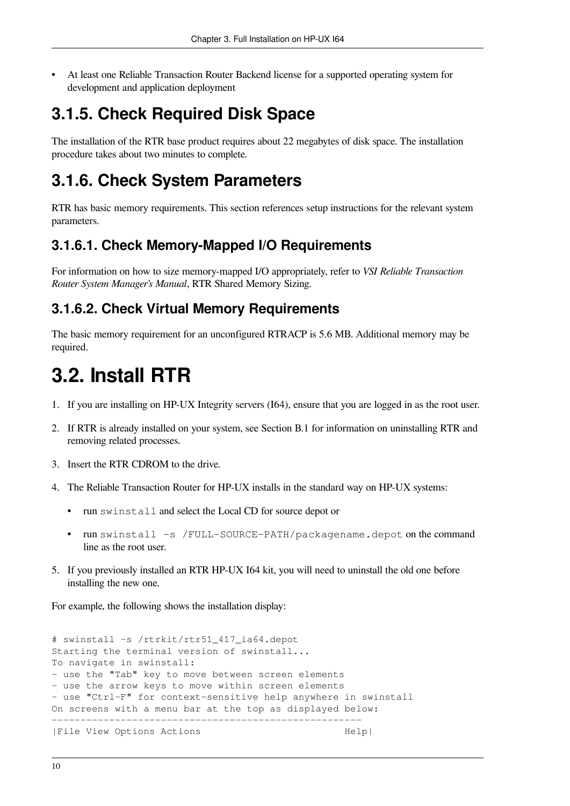• At least one Reliable Transaction Router Backend license for a supported operating system for development and application deployment

## <span id="page-19-0"></span>**3.1.5. Check Required Disk Space**

The installation of the RTR base product requires about 22 megabytes of disk space. The installation procedure takes about two minutes to complete.

## <span id="page-19-1"></span>**3.1.6. Check System Parameters**

RTR has basic memory requirements. This section references setup instructions for the relevant system parameters.

### <span id="page-19-2"></span>**3.1.6.1. Check Memory-Mapped I/O Requirements**

For information on how to size memory-mapped I/O appropriately, refer to *VSI Reliable Transaction Router System Manager's Manual*, RTR Shared Memory Sizing.

### <span id="page-19-3"></span>**3.1.6.2. Check Virtual Memory Requirements**

The basic memory requirement for an unconfigured RTRACP is 5.6 MB. Additional memory may be required.

## <span id="page-19-4"></span>**3.2. Install RTR**

- 1. If you are installing on HP-UX Integrity servers (I64), ensure that you are logged in as the root user.
- 2. If RTR is already installed on your system, see [Section](#page-54-1) B.1 for information on uninstalling RTR and removing related processes.
- 3. Insert the RTR CDROM to the drive.
- 4. The Reliable Transaction Router for HP-UX installs in the standard way on HP-UX systems:
	- run swinstall and select the Local CD for source depot or
	- run swinstall -s /FULL-SOURCE-PATH/packagename.depot on the command line as the root user.
- 5. If you previously installed an RTR HP-UX I64 kit, you will need to uninstall the old one before installing the new one.

For example, the following shows the installation display:

```
# swinstall -s /rtrkit/rtr51_417_ia64.depot
Starting the terminal version of swinstall...
To navigate in swinstall:
- use the "Tab" key to move between screen elements
- use the arrow keys to move within screen elements
- use "Ctrl-F" for context-sensitive help anywhere in swinstall
On screens with a menu bar at the top as displayed below:
   ------------------------------------------------------
|File View Options Actions | Nelp|
```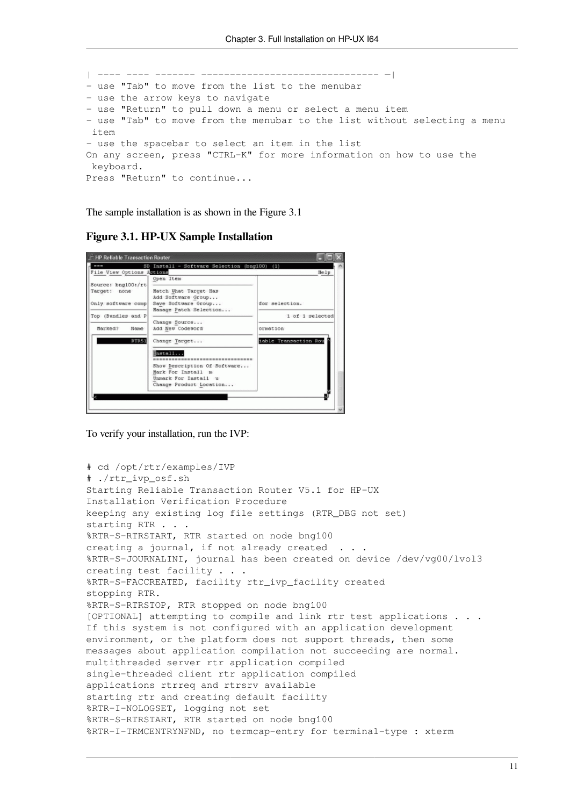```
| ---- ---- ------- ------------------------------- —|
- use "Tab" to move from the list to the menubar
- use the arrow keys to navigate
- use "Return" to pull down a menu or select a menu item
- use "Tab" to move from the menubar to the list without selecting a menu
 item
- use the spacebar to select an item in the list
On any screen, press "CTRL-K" for more information on how to use the
 keyboard.
Press "Return" to continue...
```
<span id="page-20-0"></span>The sample installation is as shown in the [Figure](#page-20-0) 3.1

**Figure 3.1. HP-UX Sample Installation**



To verify your installation, run the IVP:

```
# cd /opt/rtr/examples/IVP
# ./rtr_ivp_osf.sh
Starting Reliable Transaction Router V5.1 for HP-UX
Installation Verification Procedure
keeping any existing log file settings (RTR_DBG not set)
starting RTR . . .
%RTR-S-RTRSTART, RTR started on node bng100
creating a journal, if not already created
%RTR-S-JOURNALINI, journal has been created on device /dev/vg00/lvol3
creating test facility . . .
%RTR-S-FACCREATED, facility rtr_ivp_facility created
stopping RTR.
%RTR-S-RTRSTOP, RTR stopped on node bng100
[OPTIONAL] attempting to compile and link rtr test applications . . .
If this system is not configured with an application development
environment, or the platform does not support threads, then some
messages about application compilation not succeeding are normal.
multithreaded server rtr application compiled
single-threaded client rtr application compiled
applications rtrreq and rtrsrv available
starting rtr and creating default facility
%RTR-I-NOLOGSET, logging not set
%RTR-S-RTRSTART, RTR started on node bng100
%RTR-I-TRMCENTRYNFND, no termcap-entry for terminal-type : xterm
```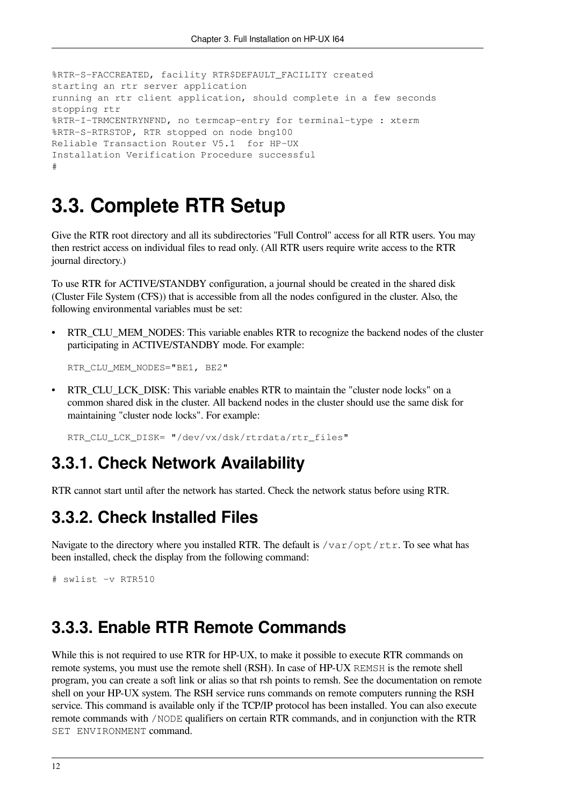```
%RTR-S-FACCREATED, facility RTR$DEFAULT_FACILITY created
starting an rtr server application
running an rtr client application, should complete in a few seconds
stopping rtr
%RTR-I-TRMCENTRYNFND, no termcap-entry for terminal-type : xterm
%RTR-S-RTRSTOP, RTR stopped on node bng100
Reliable Transaction Router V5.1 for HP-UX
Installation Verification Procedure successful
#
```
## <span id="page-21-0"></span>**3.3. Complete RTR Setup**

Give the RTR root directory and all its subdirectories ''Full Control'' access for all RTR users. You may then restrict access on individual files to read only. (All RTR users require write access to the RTR journal directory.)

To use RTR for ACTIVE/STANDBY configuration, a journal should be created in the shared disk (Cluster File System (CFS)) that is accessible from all the nodes configured in the cluster. Also, the following environmental variables must be set:

RTR\_CLU\_MEM\_NODES: This variable enables RTR to recognize the backend nodes of the cluster participating in ACTIVE/STANDBY mode. For example:

```
RTR_CLU_MEM_NODES="BE1, BE2"
```
• RTR\_CLU\_LCK\_DISK: This variable enables RTR to maintain the "cluster node locks" on a common shared disk in the cluster. All backend nodes in the cluster should use the same disk for maintaining "cluster node locks". For example:

RTR\_CLU\_LCK\_DISK= "/dev/vx/dsk/rtrdata/rtr\_files"

### <span id="page-21-1"></span>**3.3.1. Check Network Availability**

<span id="page-21-2"></span>RTR cannot start until after the network has started. Check the network status before using RTR.

### **3.3.2. Check Installed Files**

Navigate to the directory where you installed RTR. The default is  $/var/opt/rtr$ . To see what has been installed, check the display from the following command:

```
# swlist -v RTR510
```
### <span id="page-21-3"></span>**3.3.3. Enable RTR Remote Commands**

While this is not required to use RTR for HP-UX, to make it possible to execute RTR commands on remote systems, you must use the remote shell (RSH). In case of HP-UX REMSH is the remote shell program, you can create a soft link or alias so that rsh points to remsh. See the documentation on remote shell on your HP-UX system. The RSH service runs commands on remote computers running the RSH service. This command is available only if the TCP/IP protocol has been installed. You can also execute remote commands with /NODE qualifiers on certain RTR commands, and in conjunction with the RTR SET ENVIRONMENT command.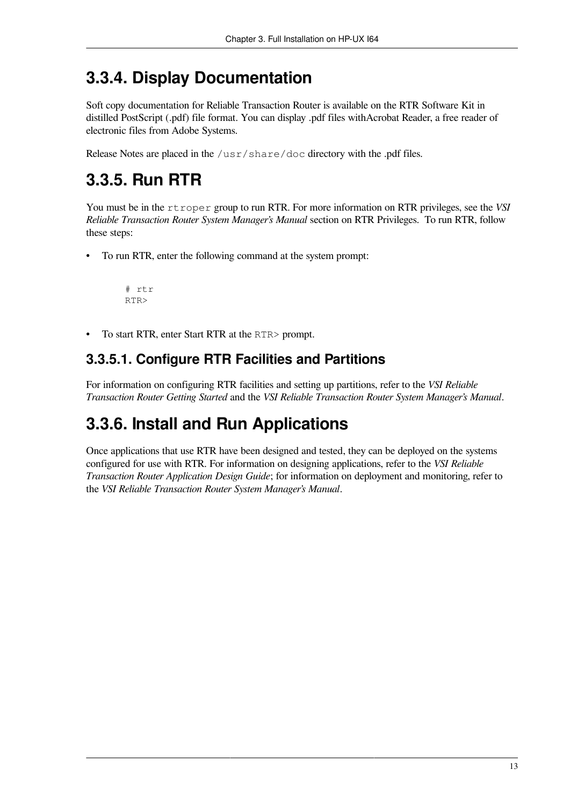## <span id="page-22-0"></span>**3.3.4. Display Documentation**

Soft copy documentation for Reliable Transaction Router is available on the RTR Software Kit in distilled PostScript (.pdf) file format. You can display .pdf files withAcrobat Reader, a free reader of electronic files from Adobe Systems.

Release Notes are placed in the /usr/share/doc directory with the .pdf files.

## <span id="page-22-1"></span>**3.3.5. Run RTR**

You must be in the rtroper group to run RTR. For more information on RTR privileges, see the *VSI Reliable Transaction Router System Manager's Manual* section on RTR Privileges. To run RTR, follow these steps:

• To run RTR, enter the following command at the system prompt:

```
 # rtr
 RTR>
```
• To start RTR, enter Start RTR at the RTR> prompt.

### <span id="page-22-2"></span>**3.3.5.1. Configure RTR Facilities and Partitions**

For information on configuring RTR facilities and setting up partitions, refer to the *VSI Reliable Transaction Router Getting Started* and the *VSI Reliable Transaction Router System Manager's Manual*.

## <span id="page-22-3"></span>**3.3.6. Install and Run Applications**

Once applications that use RTR have been designed and tested, they can be deployed on the systems configured for use with RTR. For information on designing applications, refer to the *VSI Reliable Transaction Router Application Design Guide*; for information on deployment and monitoring, refer to the *VSI Reliable Transaction Router System Manager's Manual*.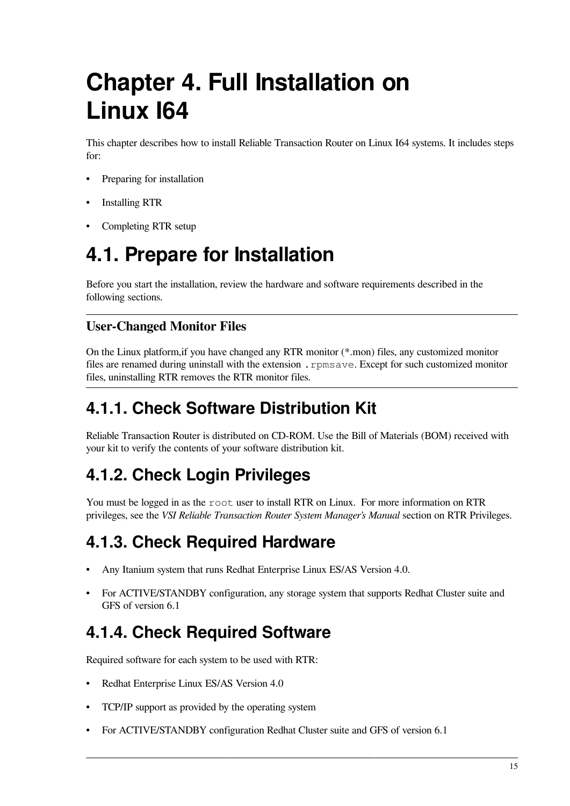# <span id="page-24-0"></span>**Chapter 4. Full Installation on Linux I64**

This chapter describes how to install Reliable Transaction Router on Linux I64 systems. It includes steps for:

- Preparing for installation
- Installing RTR
- Completing RTR setup

## <span id="page-24-1"></span>**4.1. Prepare for Installation**

Before you start the installation, review the hardware and software requirements described in the following sections.

#### **User-Changed Monitor Files**

On the Linux platform,if you have changed any RTR monitor (\*.mon) files, any customized monitor files are renamed during uninstall with the extension .rpmsave. Except for such customized monitor files, uninstalling RTR removes the RTR monitor files.

## <span id="page-24-2"></span>**4.1.1. Check Software Distribution Kit**

Reliable Transaction Router is distributed on CD-ROM. Use the Bill of Materials (BOM) received with your kit to verify the contents of your software distribution kit.

## <span id="page-24-3"></span>**4.1.2. Check Login Privileges**

You must be logged in as the root user to install RTR on Linux. For more information on RTR privileges, see the *VSI Reliable Transaction Router System Manager's Manual* section on RTR Privileges.

## <span id="page-24-4"></span>**4.1.3. Check Required Hardware**

- Any Itanium system that runs Redhat Enterprise Linux ES/AS Version 4.0.
- For ACTIVE/STANDBY configuration, any storage system that supports Redhat Cluster suite and GFS of version 6.1

## <span id="page-24-5"></span>**4.1.4. Check Required Software**

Required software for each system to be used with RTR:

- Redhat Enterprise Linux ES/AS Version 4.0
- TCP/IP support as provided by the operating system
- For ACTIVE/STANDBY configuration Redhat Cluster suite and GFS of version 6.1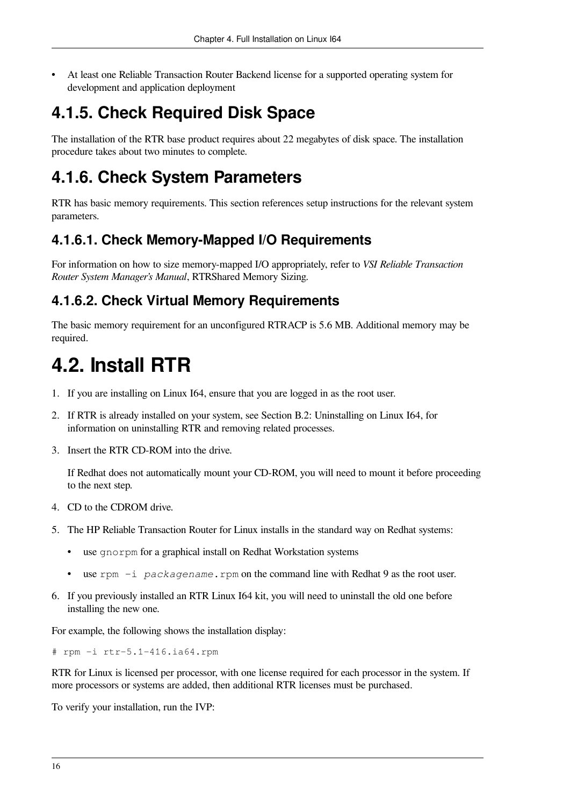• At least one Reliable Transaction Router Backend license for a supported operating system for development and application deployment

## <span id="page-25-0"></span>**4.1.5. Check Required Disk Space**

The installation of the RTR base product requires about 22 megabytes of disk space. The installation procedure takes about two minutes to complete.

## <span id="page-25-1"></span>**4.1.6. Check System Parameters**

RTR has basic memory requirements. This section references setup instructions for the relevant system parameters.

### <span id="page-25-2"></span>**4.1.6.1. Check Memory-Mapped I/O Requirements**

For information on how to size memory-mapped I/O appropriately, refer to *VSI Reliable Transaction Router System Manager's Manual*, RTRShared Memory Sizing.

### <span id="page-25-3"></span>**4.1.6.2. Check Virtual Memory Requirements**

The basic memory requirement for an unconfigured RTRACP is 5.6 MB. Additional memory may be required.

## <span id="page-25-4"></span>**4.2. Install RTR**

- 1. If you are installing on Linux I64, ensure that you are logged in as the root user.
- 2. If RTR is already installed on your system, see Section B.2: [Uninstalling](#page-55-0) on Linux I64, for information on uninstalling RTR and removing related processes.
- 3. Insert the RTR CD-ROM into the drive.

If Redhat does not automatically mount your CD-ROM, you will need to mount it before proceeding to the next step.

- 4. CD to the CDROM drive.
- 5. The HP Reliable Transaction Router for Linux installs in the standard way on Redhat systems:
	- use gnorpm for a graphical install on Redhat Workstation systems
	- use rpm -i *packagename*.rpm on the command line with Redhat 9 as the root user.
- 6. If you previously installed an RTR Linux I64 kit, you will need to uninstall the old one before installing the new one.

For example, the following shows the installation display:

# rpm -i rtr-5.1-416.ia64.rpm

RTR for Linux is licensed per processor, with one license required for each processor in the system. If more processors or systems are added, then additional RTR licenses must be purchased.

To verify your installation, run the IVP: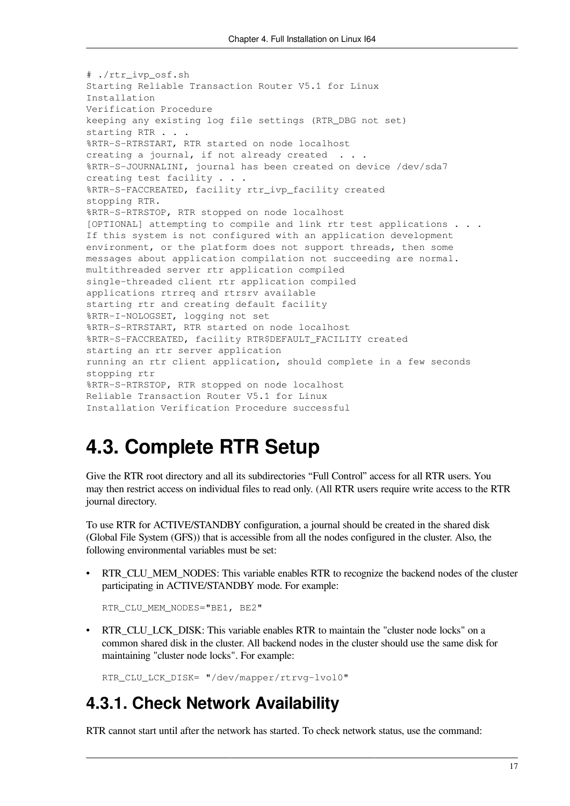# ./rtr\_ivp\_osf.sh Starting Reliable Transaction Router V5.1 for Linux Installation Verification Procedure keeping any existing log file settings (RTR\_DBG not set) starting RTR . . . %RTR-S-RTRSTART, RTR started on node localhost creating a journal, if not already created . . . %RTR-S-JOURNALINI, journal has been created on device /dev/sda7 creating test facility . . . %RTR-S-FACCREATED, facility rtr\_ivp\_facility created stopping RTR. %RTR-S-RTRSTOP, RTR stopped on node localhost [OPTIONAL] attempting to compile and link rtr test applications . . . If this system is not configured with an application development environment, or the platform does not support threads, then some messages about application compilation not succeeding are normal. multithreaded server rtr application compiled single-threaded client rtr application compiled applications rtrreq and rtrsrv available starting rtr and creating default facility %RTR-I-NOLOGSET, logging not set %RTR-S-RTRSTART, RTR started on node localhost %RTR-S-FACCREATED, facility RTR\$DEFAULT\_FACILITY created starting an rtr server application running an rtr client application, should complete in a few seconds stopping rtr %RTR-S-RTRSTOP, RTR stopped on node localhost Reliable Transaction Router V5.1 for Linux Installation Verification Procedure successful

## <span id="page-26-0"></span>**4.3. Complete RTR Setup**

Give the RTR root directory and all its subdirectories "Full Control" access for all RTR users. You may then restrict access on individual files to read only. (All RTR users require write access to the RTR journal directory.

To use RTR for ACTIVE/STANDBY configuration, a journal should be created in the shared disk (Global File System (GFS)) that is accessible from all the nodes configured in the cluster. Also, the following environmental variables must be set:

• RTR\_CLU\_MEM\_NODES: This variable enables RTR to recognize the backend nodes of the cluster participating in ACTIVE/STANDBY mode. For example:

```
RTR_CLU_MEM_NODES="BE1, BE2"
```
• RTR\_CLU\_LCK\_DISK: This variable enables RTR to maintain the "cluster node locks" on a common shared disk in the cluster. All backend nodes in the cluster should use the same disk for maintaining "cluster node locks". For example:

RTR\_CLU\_LCK\_DISK= "/dev/mapper/rtrvg-lvol0"

### <span id="page-26-1"></span>**4.3.1. Check Network Availability**

RTR cannot start until after the network has started. To check network status, use the command: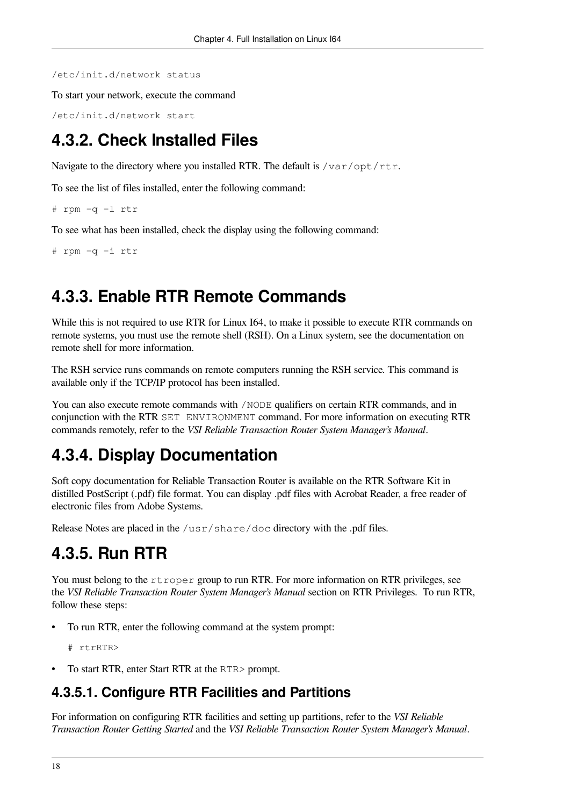/etc/init.d/network status

To start your network, execute the command

/etc/init.d/network start

## <span id="page-27-0"></span>**4.3.2. Check Installed Files**

Navigate to the directory where you installed RTR. The default is  $/\text{var}/\text{opt}/\text{rtr}$ .

To see the list of files installed, enter the following command:

```
# rpm -q -l rtr
```
To see what has been installed, check the display using the following command:

```
# rpm -q -i rtr
```
### <span id="page-27-1"></span>**4.3.3. Enable RTR Remote Commands**

While this is not required to use RTR for Linux I64, to make it possible to execute RTR commands on remote systems, you must use the remote shell (RSH). On a Linux system, see the documentation on remote shell for more information.

The RSH service runs commands on remote computers running the RSH service. This command is available only if the TCP/IP protocol has been installed.

You can also execute remote commands with /NODE qualifiers on certain RTR commands, and in conjunction with the RTR SET ENVIRONMENT command. For more information on executing RTR commands remotely, refer to the *VSI Reliable Transaction Router System Manager's Manual*.

### <span id="page-27-2"></span>**4.3.4. Display Documentation**

Soft copy documentation for Reliable Transaction Router is available on the RTR Software Kit in distilled PostScript (.pdf) file format. You can display .pdf files with Acrobat Reader, a free reader of electronic files from Adobe Systems.

Release Notes are placed in the /usr/share/doc directory with the .pdf files.

### <span id="page-27-3"></span>**4.3.5. Run RTR**

You must belong to the rtroper group to run RTR. For more information on RTR privileges, see the *VSI Reliable Transaction Router System Manager's Manual* section on RTR Privileges. To run RTR, follow these steps:

• To run RTR, enter the following command at the system prompt:

```
# rtrRTR>
```
• To start RTR, enter Start RTR at the RTR> prompt.

### <span id="page-27-4"></span>**4.3.5.1. Configure RTR Facilities and Partitions**

For information on configuring RTR facilities and setting up partitions, refer to the *VSI Reliable Transaction Router Getting Started* and the *VSI Reliable Transaction Router System Manager's Manual*.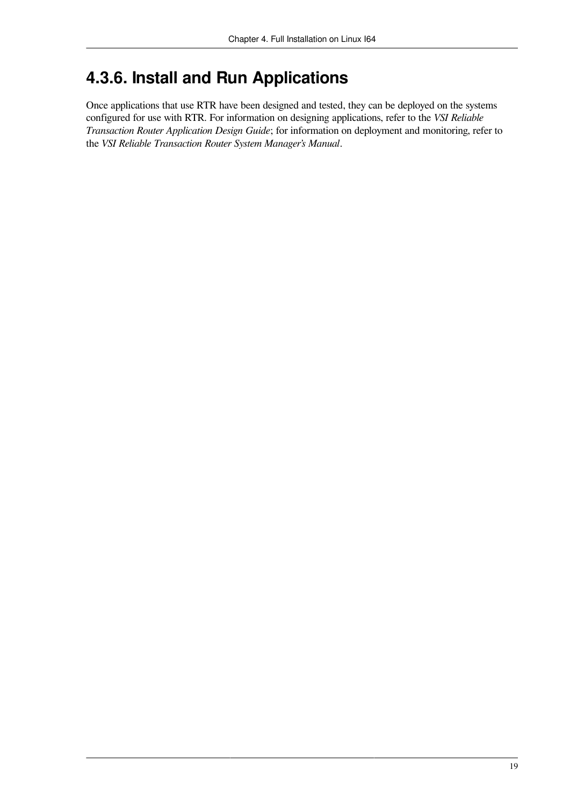## <span id="page-28-0"></span>**4.3.6. Install and Run Applications**

Once applications that use RTR have been designed and tested, they can be deployed on the systems configured for use with RTR. For information on designing applications, refer to the *VSI Reliable Transaction Router Application Design Guide*; for information on deployment and monitoring, refer to the *VSI Reliable Transaction Router System Manager's Manual*.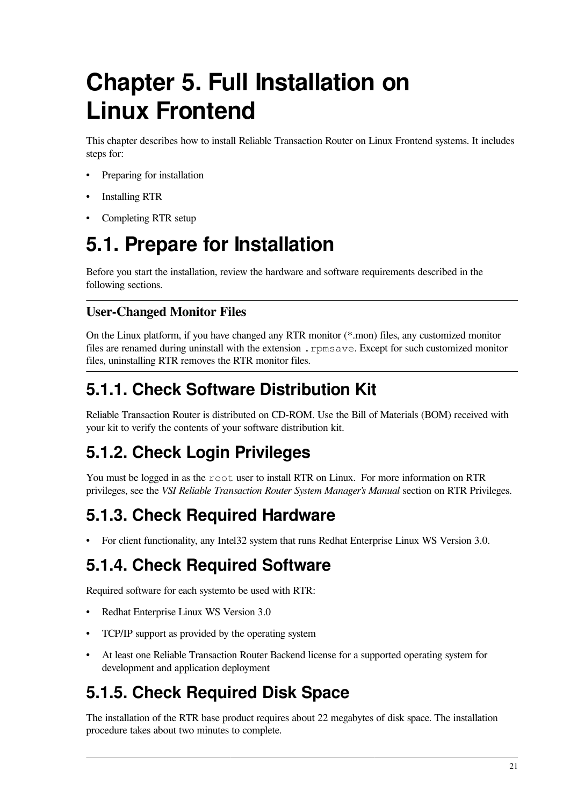# <span id="page-30-0"></span>**Chapter 5. Full Installation on Linux Frontend**

This chapter describes how to install Reliable Transaction Router on Linux Frontend systems. It includes steps for:

- Preparing for installation
- Installing RTR
- Completing RTR setup

## <span id="page-30-1"></span>**5.1. Prepare for Installation**

Before you start the installation, review the hardware and software requirements described in the following sections.

### **User-Changed Monitor Files**

On the Linux platform, if you have changed any RTR monitor (\*.mon) files, any customized monitor files are renamed during uninstall with the extension . rpmsave. Except for such customized monitor files, uninstalling RTR removes the RTR monitor files.

## <span id="page-30-2"></span>**5.1.1. Check Software Distribution Kit**

Reliable Transaction Router is distributed on CD-ROM. Use the Bill of Materials (BOM) received with your kit to verify the contents of your software distribution kit.

## <span id="page-30-3"></span>**5.1.2. Check Login Privileges**

You must be logged in as the root user to install RTR on Linux. For more information on RTR privileges, see the *VSI Reliable Transaction Router System Manager's Manual* section on RTR Privileges.

## <span id="page-30-4"></span>**5.1.3. Check Required Hardware**

• For client functionality, any Intel32 system that runs Redhat Enterprise Linux WS Version 3.0.

## <span id="page-30-5"></span>**5.1.4. Check Required Software**

Required software for each systemto be used with RTR:

- Redhat Enterprise Linux WS Version 3.0
- TCP/IP support as provided by the operating system
- At least one Reliable Transaction Router Backend license for a supported operating system for development and application deployment

## <span id="page-30-6"></span>**5.1.5. Check Required Disk Space**

The installation of the RTR base product requires about 22 megabytes of disk space. The installation procedure takes about two minutes to complete.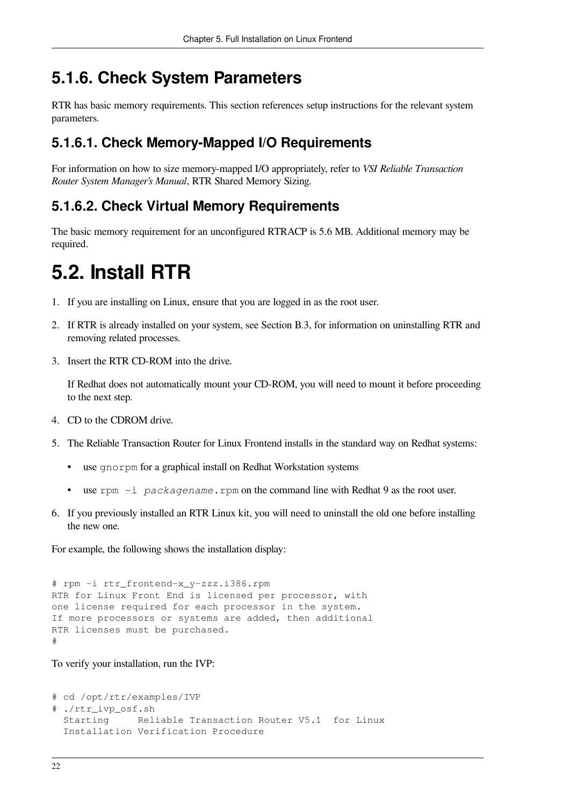### <span id="page-31-0"></span>**5.1.6. Check System Parameters**

RTR has basic memory requirements. This section references setup instructions for the relevant system parameters.

### <span id="page-31-1"></span>**5.1.6.1. Check Memory-Mapped I/O Requirements**

For information on how to size memory-mapped I/O appropriately, refer to *VSI Reliable Transaction Router System Manager's Manual*, RTR Shared Memory Sizing.

### <span id="page-31-2"></span>**5.1.6.2. Check Virtual Memory Requirements**

The basic memory requirement for an unconfigured RTRACP is 5.6 MB. Additional memory may be required.

## <span id="page-31-3"></span>**5.2. Install RTR**

- 1. If you are installing on Linux, ensure that you are logged in as the root user.
- 2. If RTR is already installed on your system, see [Section](#page-55-1) B.3, for information on uninstalling RTR and removing related processes.
- 3. Insert the RTR CD-ROM into the drive.

If Redhat does not automatically mount your CD-ROM, you will need to mount it before proceeding to the next step.

- 4. CD to the CDROM drive.
- 5. The Reliable Transaction Router for Linux Frontend installs in the standard way on Redhat systems:
	- use gnorpm for a graphical install on Redhat Workstation systems
	- use rpm -i *packagename*.rpm on the command line with Redhat 9 as the root user.
- 6. If you previously installed an RTR Linux kit, you will need to uninstall the old one before installing the new one.

For example, the following shows the installation display:

```
# rpm -i rtr_frontend-x_y-zzz.i386.rpm
RTR for Linux Front End is licensed per processor, with
one license required for each processor in the system.
If more processors or systems are added, then additional
RTR licenses must be purchased.
#
```
To verify your installation, run the IVP:

```
# cd /opt/rtr/examples/IVP
# ./rtr_ivp_osf.sh
  Starting Reliable Transaction Router V5.1 for Linux
  Installation Verification Procedure
```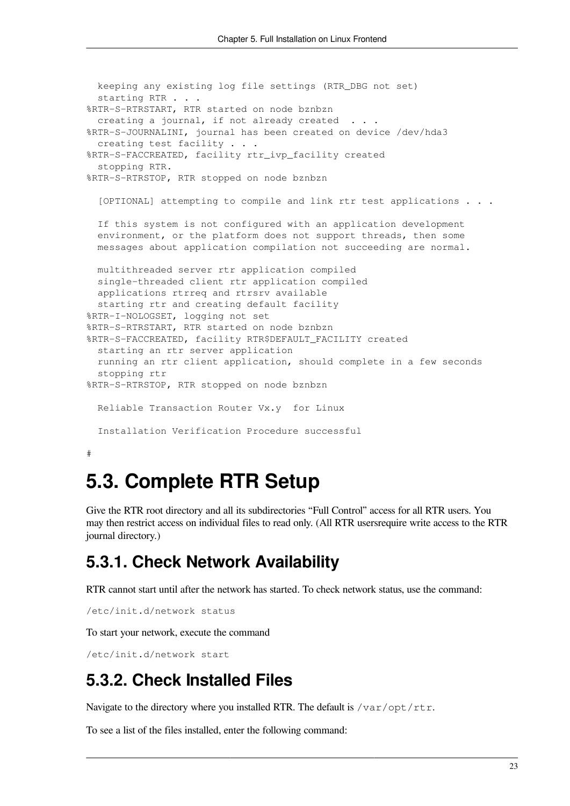```
 keeping any existing log file settings (RTR_DBG not set)
 starting RTR . . .
%RTR-S-RTRSTART, RTR started on node bznbzn
 creating a journal, if not already created . . .
%RTR-S-JOURNALINI, journal has been created on device /dev/hda3
  creating test facility . . .
%RTR-S-FACCREATED, facility rtr_ivp_facility created
  stopping RTR.
%RTR-S-RTRSTOP, RTR stopped on node bznbzn
   [OPTIONAL] attempting to compile and link rtr test applications . . .
  If this system is not configured with an application development
  environment, or the platform does not support threads, then some
  messages about application compilation not succeeding are normal.
  multithreaded server rtr application compiled
  single-threaded client rtr application compiled
  applications rtrreq and rtrsrv available
  starting rtr and creating default facility
%RTR-I-NOLOGSET, logging not set
%RTR-S-RTRSTART, RTR started on node bznbzn
%RTR-S-FACCREATED, facility RTR$DEFAULT_FACILITY created
  starting an rtr server application
  running an rtr client application, should complete in a few seconds
  stopping rtr
%RTR-S-RTRSTOP, RTR stopped on node bznbzn
  Reliable Transaction Router Vx.y for Linux
  Installation Verification Procedure successful
#
```
## <span id="page-32-0"></span>**5.3. Complete RTR Setup**

Give the RTR root directory and all its subdirectories "Full Control" access for all RTR users. You may then restrict access on individual files to read only. (All RTR usersrequire write access to the RTR journal directory.)

### <span id="page-32-1"></span>**5.3.1. Check Network Availability**

RTR cannot start until after the network has started. To check network status, use the command:

```
/etc/init.d/network status
```
To start your network, execute the command

```
/etc/init.d/network start
```
### **5.3.2. Check Installed Files**

Navigate to the directory where you installed RTR. The default is  $/\text{var}/\text{opt}/\text{rtr}$ .

To see a list of the files installed, enter the following command: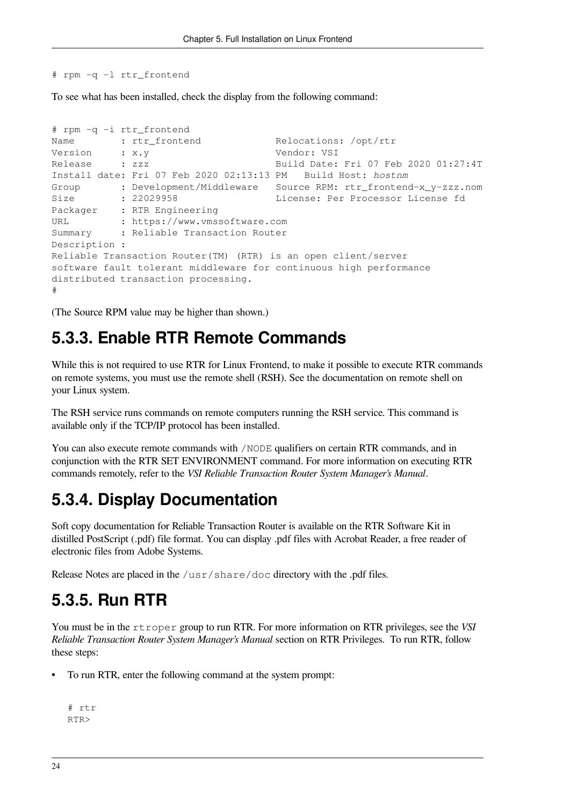# rpm -q -l rtr\_frontend

To see what has been installed, check the display from the following command:

```
# rpm -q -i rtr_frontend
Name : rtr_frontend Relocations: /opt/rtr
Version : x.y Vendor: VSI
Release : zzz Build Date: Fri 07 Feb 2020 01:27:4T
Install date: Fri 07 Feb 2020 02:13:13 PM Build Host: hostnm
Group : Development/Middleware  Source RPM: rtr_frontend-x_y-zzz.nom
Size : 22029958 License: Per Processor License fd
Packager : RTR Engineering
URL : https://www.vmssoftware.com
Summary : Reliable Transaction Router
Description :
Reliable Transaction Router(TM) (RTR) is an open client/server
software fault tolerant middleware for continuous high performance
distributed transaction processing.
#
```
<span id="page-33-0"></span>(The Source RPM value may be higher than shown.)

### **5.3.3. Enable RTR Remote Commands**

While this is not required to use RTR for Linux Frontend, to make it possible to execute RTR commands on remote systems, you must use the remote shell (RSH). See the documentation on remote shell on your Linux system.

The RSH service runs commands on remote computers running the RSH service. This command is available only if the TCP/IP protocol has been installed.

You can also execute remote commands with /NODE qualifiers on certain RTR commands, and in conjunction with the RTR SET ENVIRONMENT command. For more information on executing RTR commands remotely, refer to the *VSI Reliable Transaction Router System Manager's Manual*.

## <span id="page-33-1"></span>**5.3.4. Display Documentation**

Soft copy documentation for Reliable Transaction Router is available on the RTR Software Kit in distilled PostScript (.pdf) file format. You can display .pdf files with Acrobat Reader, a free reader of electronic files from Adobe Systems.

Release Notes are placed in the /usr/share/doc directory with the .pdf files.

### <span id="page-33-2"></span>**5.3.5. Run RTR**

You must be in the rtroper group to run RTR. For more information on RTR privileges, see the *VSI Reliable Transaction Router System Manager's Manual* section on RTR Privileges. To run RTR, follow these steps:

• To run RTR, enter the following command at the system prompt:

```
# rtr
RTR>
```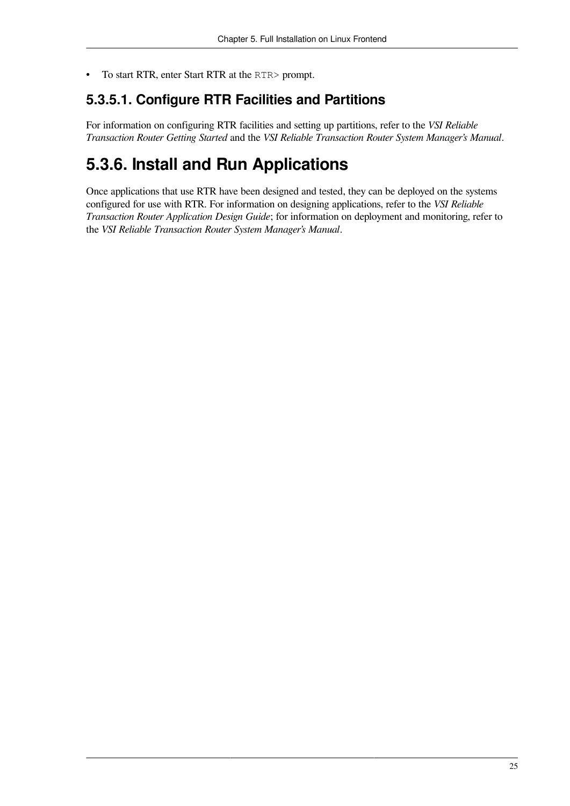• To start RTR, enter Start RTR at the RTR> prompt.

### <span id="page-34-0"></span>**5.3.5.1. Configure RTR Facilities and Partitions**

For information on configuring RTR facilities and setting up partitions, refer to the *VSI Reliable Transaction Router Getting Started* and the *VSI Reliable Transaction Router System Manager's Manual*.

## <span id="page-34-1"></span>**5.3.6. Install and Run Applications**

Once applications that use RTR have been designed and tested, they can be deployed on the systems configured for use with RTR. For information on designing applications, refer to the *VSI Reliable Transaction Router Application Design Guide*; for information on deployment and monitoring, refer to the *VSI Reliable Transaction Router System Manager's Manual*.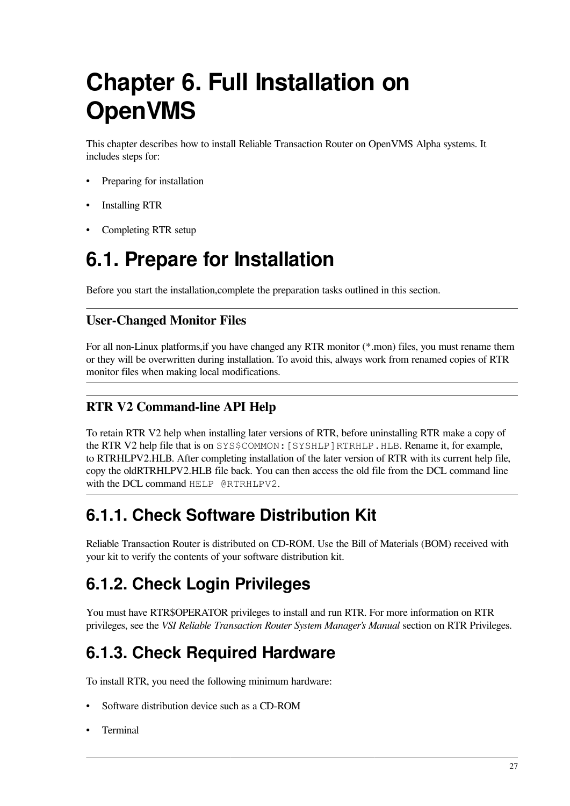# <span id="page-36-0"></span>**Chapter 6. Full Installation on OpenVMS**

This chapter describes how to install Reliable Transaction Router on OpenVMS Alpha systems. It includes steps for:

- Preparing for installation
- Installing RTR
- <span id="page-36-1"></span>• Completing RTR setup

## **6.1. Prepare for Installation**

Before you start the installation,complete the preparation tasks outlined in this section.

#### **User-Changed Monitor Files**

For all non-Linux platforms,if you have changed any RTR monitor (\*.mon) files, you must rename them or they will be overwritten during installation. To avoid this, always work from renamed copies of RTR monitor files when making local modifications.

#### **RTR V2 Command-line API Help**

To retain RTR V2 help when installing later versions of RTR, before uninstalling RTR make a copy of the RTR V2 help file that is on SYS\$COMMON:[SYSHLP]RTRHLP.HLB. Rename it, for example, to RTRHLPV2.HLB. After completing installation of the later version of RTR with its current help file, copy the oldRTRHLPV2.HLB file back. You can then access the old file from the DCL command line with the DCL command HELP @RTRHLPV2.

### <span id="page-36-2"></span>**6.1.1. Check Software Distribution Kit**

Reliable Transaction Router is distributed on CD-ROM. Use the Bill of Materials (BOM) received with your kit to verify the contents of your software distribution kit.

## <span id="page-36-3"></span>**6.1.2. Check Login Privileges**

You must have RTR\$OPERATOR privileges to install and run RTR. For more information on RTR privileges, see the *VSI Reliable Transaction Router System Manager's Manual* section on RTR Privileges.

## <span id="page-36-4"></span>**6.1.3. Check Required Hardware**

To install RTR, you need the following minimum hardware:

- Software distribution device such as a CD-ROM
- Terminal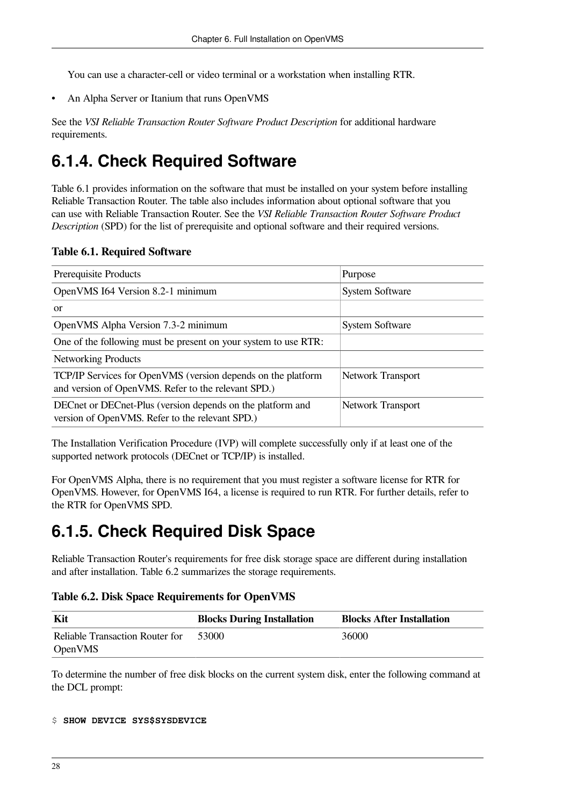You can use a character-cell or video terminal or a workstation when installing RTR.

• An Alpha Server or Itanium that runs OpenVMS

See the *VSI Reliable Transaction Router Software Product Description* for additional hardware requirements.

## <span id="page-37-0"></span>**6.1.4. Check Required Software**

[Table](#page-37-2) 6.1 provides information on the software that must be installed on your system before installing Reliable Transaction Router. The table also includes information about optional software that you can use with Reliable Transaction Router. See the *VSI Reliable Transaction Router Software Product Description* (SPD) for the list of prerequisite and optional software and their required versions.

<span id="page-37-2"></span>**Table 6.1. Required Software**

| Prerequisite Products                                                                                               | Purpose                  |
|---------------------------------------------------------------------------------------------------------------------|--------------------------|
| OpenVMS I64 Version 8.2-1 minimum                                                                                   | <b>System Software</b>   |
| <sub>or</sub>                                                                                                       |                          |
| OpenVMS Alpha Version 7.3-2 minimum                                                                                 | <b>System Software</b>   |
| One of the following must be present on your system to use RTR:                                                     |                          |
| <b>Networking Products</b>                                                                                          |                          |
| TCP/IP Services for OpenVMS (version depends on the platform<br>and version of OpenVMS. Refer to the relevant SPD.) | <b>Network Transport</b> |
| DECnet or DECnet-Plus (version depends on the platform and<br>version of OpenVMS. Refer to the relevant SPD.)       | <b>Network Transport</b> |

The Installation Verification Procedure (IVP) will complete successfully only if at least one of the supported network protocols (DECnet or TCP/IP) is installed.

For OpenVMS Alpha, there is no requirement that you must register a software license for RTR for OpenVMS. However, for OpenVMS I64, a license is required to run RTR. For further details, refer to the RTR for OpenVMS SPD.

## <span id="page-37-1"></span>**6.1.5. Check Required Disk Space**

Reliable Transaction Router's requirements for free disk storage space are different during installation and after installation. [Table](#page-37-3) 6.2 summarizes the storage requirements.

<span id="page-37-3"></span>**Table 6.2. Disk Space Requirements for OpenVMS**

| Kit                             | <b>Blocks During Installation</b> | <b>Blocks After Installation</b> |
|---------------------------------|-----------------------------------|----------------------------------|
| Reliable Transaction Router for | 53000                             | 36000                            |
| $\overline{O}$ DpenVMS          |                                   |                                  |

To determine the number of free disk blocks on the current system disk, enter the following command at the DCL prompt:

```
$ SHOW DEVICE SYS$SYSDEVICE
```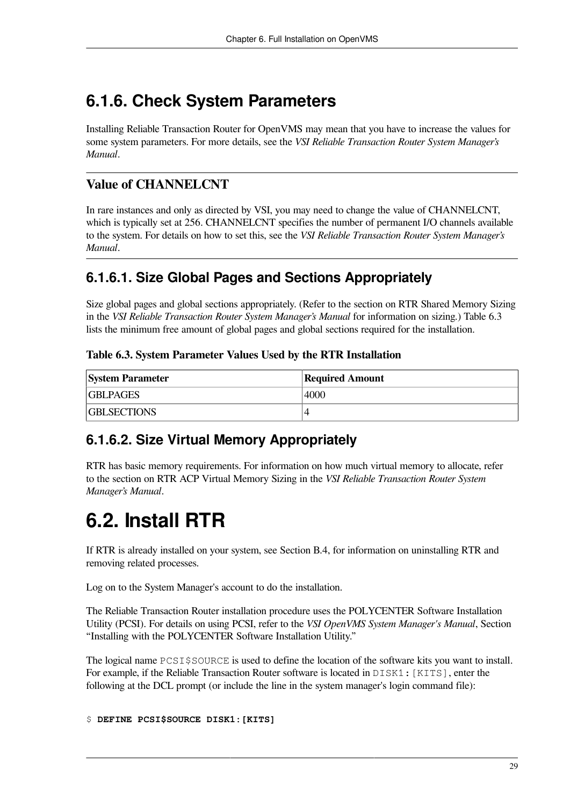## <span id="page-38-0"></span>**6.1.6. Check System Parameters**

Installing Reliable Transaction Router for OpenVMS may mean that you have to increase the values for some system parameters. For more details, see the *VSI Reliable Transaction Router System Manager's Manual*.

#### **Value of CHANNELCNT**

In rare instances and only as directed by VSI, you may need to change the value of CHANNELCNT, which is typically set at 256. CHANNELCNT specifies the number of permanent I/O channels available to the system. For details on how to set this, see the *VSI Reliable Transaction Router System Manager's Manual*.

### <span id="page-38-1"></span>**6.1.6.1. Size Global Pages and Sections Appropriately**

Size global pages and global sections appropriately. (Refer to the section on RTR Shared Memory Sizing in the *VSI Reliable Transaction Router System Manager's Manual* for information on sizing.) [Table](#page-38-4) 6.3 lists the minimum free amount of global pages and global sections required for the installation.

#### <span id="page-38-4"></span>**Table 6.3. System Parameter Values Used by the RTR Installation**

| <b>System Parameter</b> | <b>Required Amount</b> |
|-------------------------|------------------------|
| <b>GBLPAGES</b>         | 4000                   |
| <b>GBLSECTIONS</b>      |                        |

### <span id="page-38-2"></span>**6.1.6.2. Size Virtual Memory Appropriately**

RTR has basic memory requirements. For information on how much virtual memory to allocate, refer to the section on RTR ACP Virtual Memory Sizing in the *VSI Reliable Transaction Router System Manager's Manual*.

## <span id="page-38-3"></span>**6.2. Install RTR**

If RTR is already installed on your system, see [Section](#page-55-2) B.4, for information on uninstalling RTR and removing related processes.

Log on to the System Manager's account to do the installation.

The Reliable Transaction Router installation procedure uses the POLYCENTER Software Installation Utility (PCSI). For details on using PCSI, refer to the *VSI OpenVMS System Manager's Manual*, Section "Installing with the POLYCENTER Software Installation Utility."

The logical name PCSI\$SOURCE is used to define the location of the software kits you want to install. For example, if the Reliable Transaction Router software is located in  $DISKI: [KITS]$ , enter the following at the DCL prompt (or include the line in the system manager's login command file):

\$ **DEFINE PCSI\$SOURCE DISK1:[KITS]**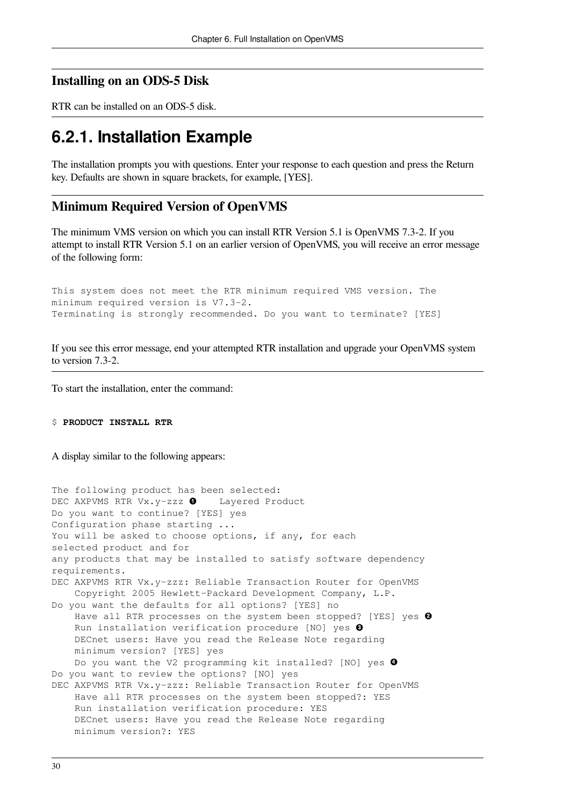#### **Installing on an ODS-5 Disk**

RTR can be installed on an ODS-5 disk.

### <span id="page-39-0"></span>**6.2.1. Installation Example**

The installation prompts you with questions. Enter your response to each question and press the Return key. Defaults are shown in square brackets, for example, [YES].

#### **Minimum Required Version of OpenVMS**

The minimum VMS version on which you can install RTR Version 5.1 is OpenVMS 7.3-2. If you attempt to install RTR Version 5.1 on an earlier version of OpenVMS, you will receive an error message of the following form:

This system does not meet the RTR minimum required VMS version. The minimum required version is V7.3-2. Terminating is strongly recommended. Do you want to terminate? [YES]

If you see this error message, end your attempted RTR installation and upgrade your OpenVMS system to version 7.3-2.

To start the installation, enter the command:

#### \$ **PRODUCT INSTALL RTR**

A display similar to the following appears:

The following product has been selected: DEC AXPVMS RTR Vx.  $y$ -zzz  $\bullet$  Layered Product Do you want to continue? [YES] yes Configuration phase starting ... You will be asked to choose options, if any, for each selected product and for any products that may be installed to satisfy software dependency requirements. DEC AXPVMS RTR Vx.y-zzz: Reliable Transaction Router for OpenVMS Copyright 2005 Hewlett-Packard Development Company, L.P. Do you want the defaults for all options? [YES] no Have all RTR processes on the system been stopped? [YES] yes @ Run installation verification procedure [NO] yes  $\bullet$  DECnet users: Have you read the Release Note regarding minimum version? [YES] yes Do you want the V2 programming kit installed? [NO] yes <sup>0</sup> Do you want to review the options? [NO] yes DEC AXPVMS RTR Vx.y-zzz: Reliable Transaction Router for OpenVMS Have all RTR processes on the system been stopped?: YES Run installation verification procedure: YES DECnet users: Have you read the Release Note regarding minimum version?: YES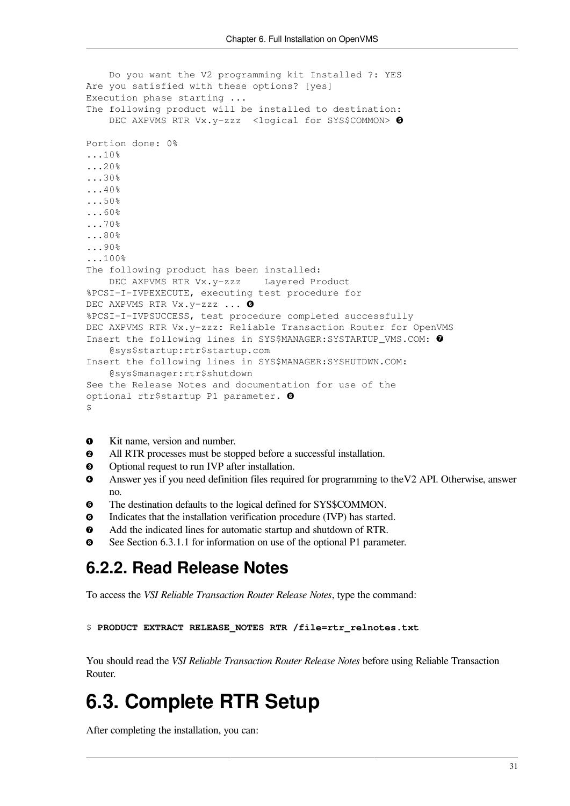```
 Do you want the V2 programming kit Installed ?: YES
Are you satisfied with these options? [yes]
Execution phase starting ...
The following product will be installed to destination:
    DEC AXPVMS RTR Vx.y-zzz <logical for SYS$COMMON> \ThetaPortion done: 0%
...10%
...20%
...30%
...40%
...50%
...60%
...70%
...80%
...90%
...100%
The following product has been installed:
     DEC AXPVMS RTR Vx.y-zzz Layered Product
%PCSI-I-IVPEXECUTE, executing test procedure for
DEC AXPVMS RTR Vx.y-zzz ... O
%PCSI-I-IVPSUCCESS, test procedure completed successfully
DEC AXPVMS RTR Vx.y-zzz: Reliable Transaction Router for OpenVMS
Insert the following lines in SYS$MANAGER:SYSTARTUP_VMS.COM: 0
     @sys$startup:rtr$startup.com
Insert the following lines in SYS$MANAGER:SYSHUTDWN.COM:
     @sys$manager:rtr$shutdown
See the Release Notes and documentation for use of the
optional rtr$startup P1 parameter. <sup>0</sup>
\mathcal{S}
```
- Kit name, version and number.  $\bullet$
- $\boldsymbol{\Theta}$ All RTR processes must be stopped before a successful installation.
- Optional request to run IVP after installation.  $\bullet$
- Answer yes if you need definition files required for programming to theV2 API. Otherwise, answer  $\bullet$ no.
- $\boldsymbol{\Theta}$ The destination defaults to the logical defined for SYS\$COMMON.
- $\bullet$ Indicates that the installation verification procedure (IVP) has started.
- $\bullet$ Add the indicated lines for automatic startup and shutdown of RTR.
- <span id="page-40-0"></span> $\Omega$ See [Section](#page-41-1) 6.3.1.1 for information on use of the optional P1 parameter.

### **6.2.2. Read Release Notes**

To access the *VSI Reliable Transaction Router Release Notes*, type the command:

```
$ PRODUCT EXTRACT RELEASE_NOTES RTR /file=rtr_relnotes.txt
```
You should read the *VSI Reliable Transaction Router Release Notes* before using Reliable Transaction Router.

## <span id="page-40-1"></span>**6.3. Complete RTR Setup**

After completing the installation, you can: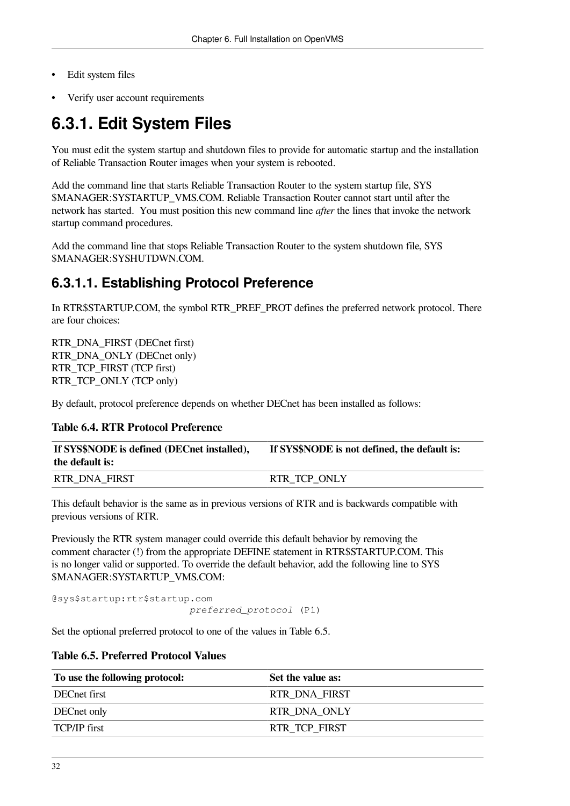- Edit system files
- Verify user account requirements

## <span id="page-41-0"></span>**6.3.1. Edit System Files**

You must edit the system startup and shutdown files to provide for automatic startup and the installation of Reliable Transaction Router images when your system is rebooted.

Add the command line that starts Reliable Transaction Router to the system startup file, SYS \$MANAGER:SYSTARTUP\_VMS.COM. Reliable Transaction Router cannot start until after the network has started. You must position this new command line *after* the lines that invoke the network startup command procedures.

Add the command line that stops Reliable Transaction Router to the system shutdown file, SYS \$MANAGER:SYSHUTDWN.COM.

### <span id="page-41-1"></span>**6.3.1.1. Establishing Protocol Preference**

In RTR\$STARTUP.COM, the symbol RTR\_PREF\_PROT defines the preferred network protocol. There are four choices:

RTR\_DNA\_FIRST (DECnet first) RTR\_DNA\_ONLY (DECnet only) RTR\_TCP\_FIRST (TCP first) RTR\_TCP\_ONLY (TCP only)

By default, protocol preference depends on whether DECnet has been installed as follows:

#### **Table 6.4. RTR Protocol Preference**

| If SYS\$NODE is defined (DECnet installed),<br>the default is: | <b>If SYS\$NODE</b> is not defined, the default is: |
|----------------------------------------------------------------|-----------------------------------------------------|
| <b>RTR DNA FIRST</b>                                           | <b>RTR TCP ONLY</b>                                 |

This default behavior is the same as in previous versions of RTR and is backwards compatible with previous versions of RTR.

Previously the RTR system manager could override this default behavior by removing the comment character (!) from the appropriate DEFINE statement in RTR\$STARTUP.COM. This is no longer valid or supported. To override the default behavior, add the following line to SYS \$MANAGER:SYSTARTUP\_VMS.COM:

@sys\$startup:rtr\$startup.com *preferred\_protocol* (P1)

<span id="page-41-2"></span>Set the optional preferred protocol to one of the values in [Table](#page-41-2) 6.5.

#### **Table 6.5. Preferred Protocol Values**

| To use the following protocol: | Set the value as:    |
|--------------------------------|----------------------|
| DECnet first                   | <b>RTR DNA FIRST</b> |
| DECnet only                    | <b>RTR DNA ONLY</b>  |
| <b>TCP/IP</b> first            | <b>RTR TCP FIRST</b> |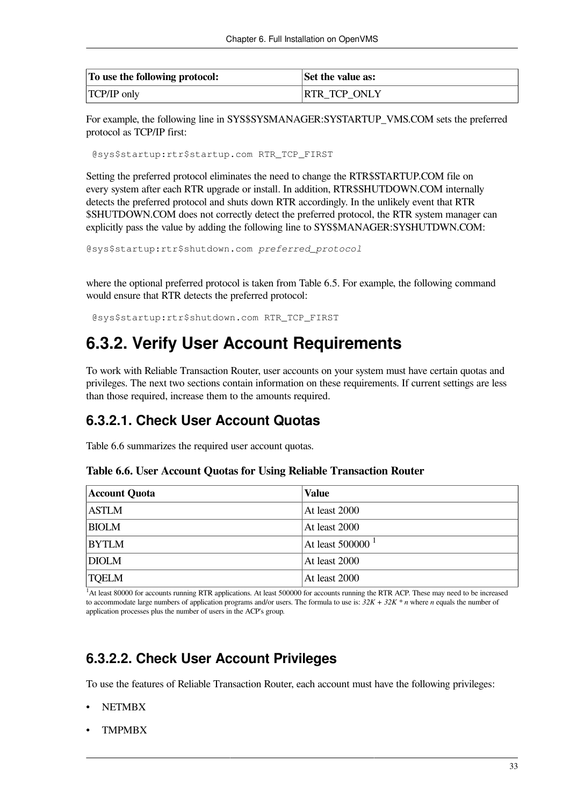| To use the following protocol: | Set the value as:   |
|--------------------------------|---------------------|
| <b>TCP/IP</b> only             | <b>RTR_TCP_ONLY</b> |

For example, the following line in SYS\$SYSMANAGER:SYSTARTUP\_VMS.COM sets the preferred protocol as TCP/IP first:

@sys\$startup:rtr\$startup.com RTR\_TCP\_FIRST

Setting the preferred protocol eliminates the need to change the RTR\$STARTUP.COM file on every system after each RTR upgrade or install. In addition, RTR\$SHUTDOWN.COM internally detects the preferred protocol and shuts down RTR accordingly. In the unlikely event that RTR \$SHUTDOWN.COM does not correctly detect the preferred protocol, the RTR system manager can explicitly pass the value by adding the following line to SYS\$MANAGER:SYSHUTDWN.COM:

```
@sys$startup:rtr$shutdown.com preferred_protocol
```
where the optional preferred protocol is taken from [Table](#page-41-2) 6.5. For example, the following command would ensure that RTR detects the preferred protocol:

<span id="page-42-0"></span>@sys\$startup:rtr\$shutdown.com RTR\_TCP\_FIRST

### **6.3.2. Verify User Account Requirements**

To work with Reliable Transaction Router, user accounts on your system must have certain quotas and privileges. The next two sections contain information on these requirements. If current settings are less than those required, increase them to the amounts required.

#### <span id="page-42-1"></span>**6.3.2.1. Check User Account Quotas**

<span id="page-42-3"></span>[Table](#page-42-3) 6.6 summarizes the required user account quotas.

#### **Table 6.6. User Account Quotas for Using Reliable Transaction Router**

| <b>Account Quota</b> | Value                          |
|----------------------|--------------------------------|
| <b>ASTLM</b>         | At least 2000                  |
| <b>BIOLM</b>         | At least 2000                  |
| <b>BYTLM</b>         | At least $500000$ <sup>1</sup> |
| <b>DIOLM</b>         | At least 2000                  |
| <b>TQELM</b>         | At least 2000                  |

<sup>1</sup>At least 80000 for accounts running RTR applications. At least 500000 for accounts running the RTR ACP. These may need to be increased to accommodate large numbers of application programs and/or users. The formula to use is: *32K + 32K \* n* where *n* equals the number of application processes plus the number of users in the ACP's group.

### <span id="page-42-2"></span>**6.3.2.2. Check User Account Privileges**

To use the features of Reliable Transaction Router, each account must have the following privileges:

- NETMBX
- TMPMBX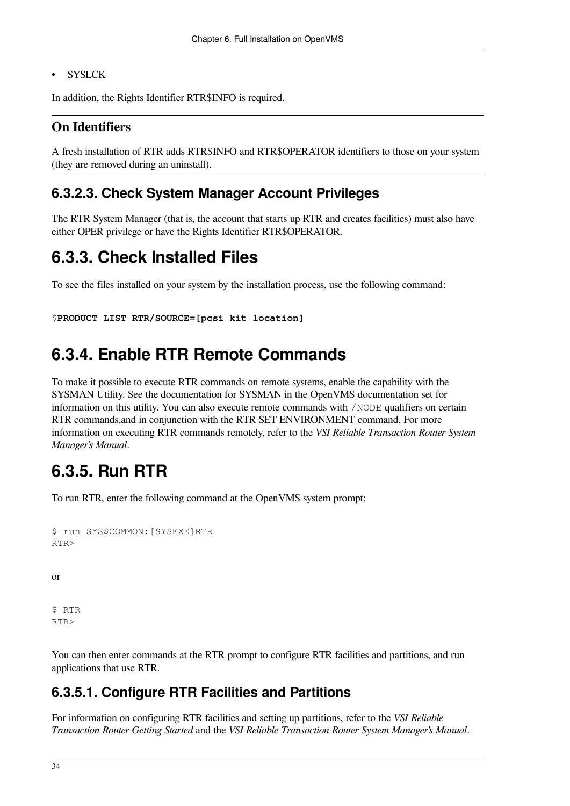#### **SYSLCK**

In addition, the Rights Identifier RTR\$INFO is required.

#### **On Identifiers**

A fresh installation of RTR adds RTR\$INFO and RTR\$OPERATOR identifiers to those on your system (they are removed during an uninstall).

#### <span id="page-43-0"></span>**6.3.2.3. Check System Manager Account Privileges**

The RTR System Manager (that is, the account that starts up RTR and creates facilities) must also have either OPER privilege or have the Rights Identifier RTR\$OPERATOR.

### <span id="page-43-1"></span>**6.3.3. Check Installed Files**

To see the files installed on your system by the installation process, use the following command:

```
$PRODUCT LIST RTR/SOURCE=[pcsi kit location]
```
### <span id="page-43-2"></span>**6.3.4. Enable RTR Remote Commands**

To make it possible to execute RTR commands on remote systems, enable the capability with the SYSMAN Utility. See the documentation for SYSMAN in the OpenVMS documentation set for information on this utility. You can also execute remote commands with /NODE qualifiers on certain RTR commands,and in conjunction with the RTR SET ENVIRONMENT command. For more information on executing RTR commands remotely, refer to the *VSI Reliable Transaction Router System Manager's Manual*.

### <span id="page-43-3"></span>**6.3.5. Run RTR**

To run RTR, enter the following command at the OpenVMS system prompt:

```
$ run SYS$COMMON:[SYSEXE]RTR
RTR>
```
or

\$ RTR RTR>

You can then enter commands at the RTR prompt to configure RTR facilities and partitions, and run applications that use RTR.

#### <span id="page-43-4"></span>**6.3.5.1. Configure RTR Facilities and Partitions**

For information on configuring RTR facilities and setting up partitions, refer to the *VSI Reliable Transaction Router Getting Started* and the *VSI Reliable Transaction Router System Manager's Manual*.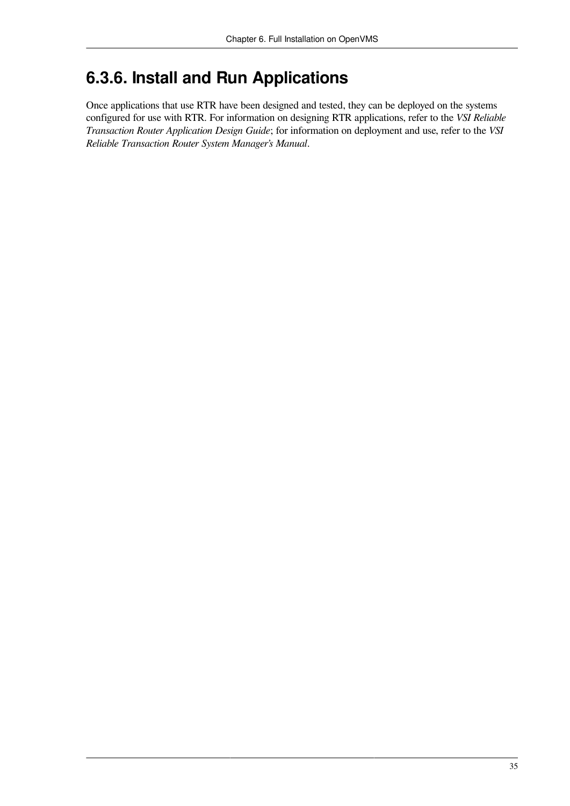## <span id="page-44-0"></span>**6.3.6. Install and Run Applications**

Once applications that use RTR have been designed and tested, they can be deployed on the systems configured for use with RTR. For information on designing RTR applications, refer to the *VSI Reliable Transaction Router Application Design Guide*; for information on deployment and use, refer to the *VSI Reliable Transaction Router System Manager's Manual*.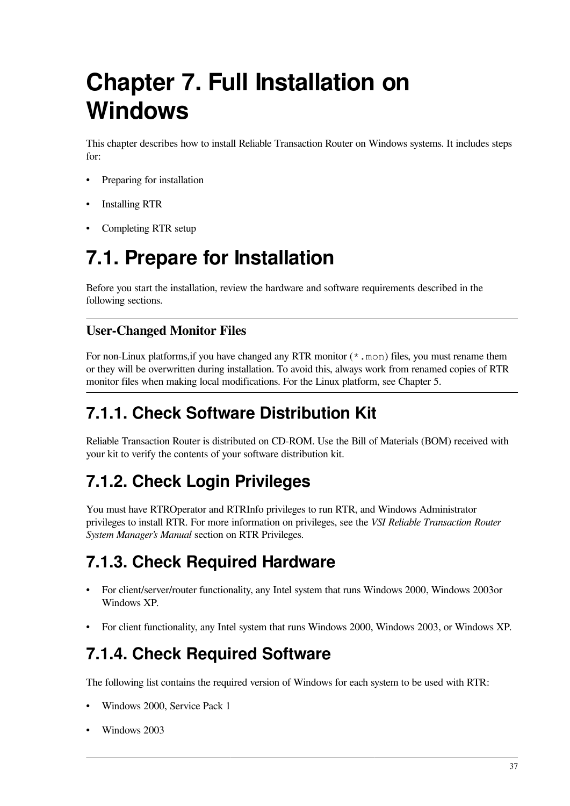# <span id="page-46-0"></span>**Chapter 7. Full Installation on Windows**

This chapter describes how to install Reliable Transaction Router on Windows systems. It includes steps for:

- Preparing for installation
- Installing RTR
- Completing RTR setup

## <span id="page-46-1"></span>**7.1. Prepare for Installation**

Before you start the installation, review the hardware and software requirements described in the following sections.

#### **User-Changed Monitor Files**

For non-Linux platforms, if you have changed any RTR monitor  $(* \cdot \text{mon})$  files, you must rename them or they will be overwritten during installation. To avoid this, always work from renamed copies of RTR monitor files when making local modifications. For the Linux platform, see [Chapter](#page-30-0) 5.

## <span id="page-46-2"></span>**7.1.1. Check Software Distribution Kit**

Reliable Transaction Router is distributed on CD-ROM. Use the Bill of Materials (BOM) received with your kit to verify the contents of your software distribution kit.

## <span id="page-46-3"></span>**7.1.2. Check Login Privileges**

You must have RTROperator and RTRInfo privileges to run RTR, and Windows Administrator privileges to install RTR. For more information on privileges, see the *VSI Reliable Transaction Router System Manager's Manual* section on RTR Privileges.

## <span id="page-46-4"></span>**7.1.3. Check Required Hardware**

- For client/server/router functionality, any Intel system that runs Windows 2000, Windows 2003or Windows XP.
- For client functionality, any Intel system that runs Windows 2000, Windows 2003, or Windows XP.

## <span id="page-46-5"></span>**7.1.4. Check Required Software**

The following list contains the required version of Windows for each system to be used with RTR:

- Windows 2000, Service Pack 1
- Windows 2003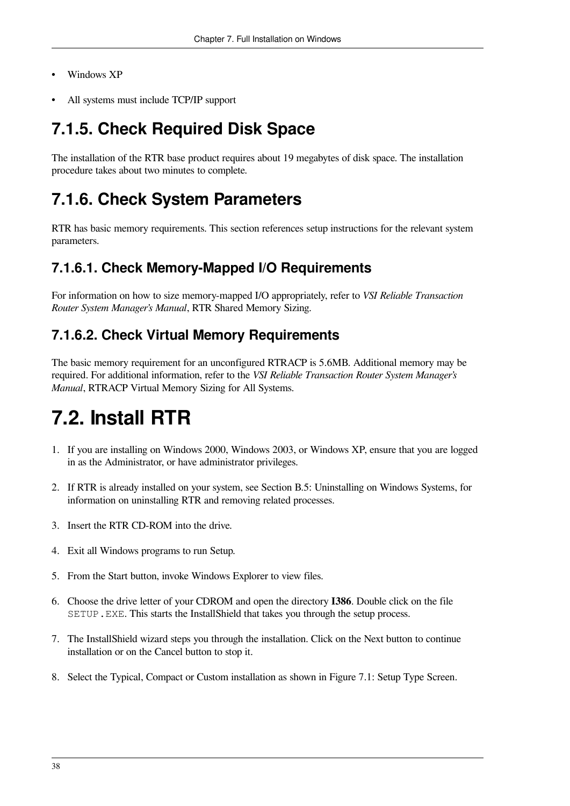- Windows XP
- All systems must include TCP/IP support

## <span id="page-47-0"></span>**7.1.5. Check Required Disk Space**

The installation of the RTR base product requires about 19 megabytes of disk space. The installation procedure takes about two minutes to complete.

## <span id="page-47-1"></span>**7.1.6. Check System Parameters**

RTR has basic memory requirements. This section references setup instructions for the relevant system parameters.

### <span id="page-47-2"></span>**7.1.6.1. Check Memory-Mapped I/O Requirements**

For information on how to size memory-mapped I/O appropriately, refer to *VSI Reliable Transaction Router System Manager's Manual*, RTR Shared Memory Sizing.

### <span id="page-47-3"></span>**7.1.6.2. Check Virtual Memory Requirements**

The basic memory requirement for an unconfigured RTRACP is 5.6MB. Additional memory may be required. For additional information, refer to the *VSI Reliable Transaction Router System Manager's Manual*, RTRACP Virtual Memory Sizing for All Systems.

## <span id="page-47-4"></span>**7.2. Install RTR**

- 1. If you are installing on Windows 2000, Windows 2003, or Windows XP, ensure that you are logged in as the Administrator, or have administrator privileges.
- 2. If RTR is already installed on your system, see Section B.5: [Uninstalling](#page-56-0) on Windows Systems, for information on uninstalling RTR and removing related processes.
- 3. Insert the RTR CD-ROM into the drive.
- 4. Exit all Windows programs to run Setup.
- 5. From the Start button, invoke Windows Explorer to view files.
- 6. Choose the drive letter of your CDROM and open the directory **I386**. Double click on the file SETUP.EXE. This starts the InstallShield that takes you through the setup process.
- 7. The InstallShield wizard steps you through the installation. Click on the Next button to continue installation or on the Cancel button to stop it.
- 8. Select the Typical, Compact or Custom installation as shown in Figure 7.1: Setup Type [Screen](#page-48-0).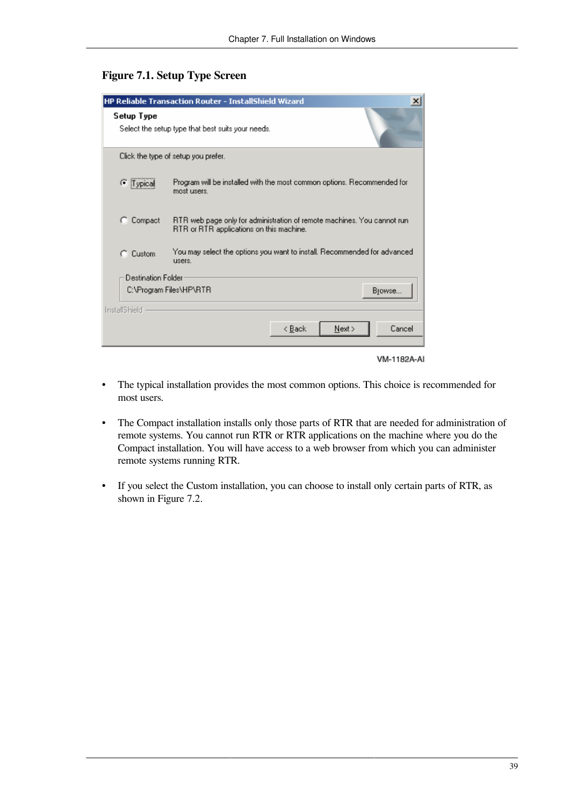#### <span id="page-48-0"></span>**Figure 7.1. Setup Type Screen**

| HP Reliable Transaction Router - InstallShield Wizard<br>$\boldsymbol{\mathsf{x}}$ |                                                                                                                     |  |  |  |
|------------------------------------------------------------------------------------|---------------------------------------------------------------------------------------------------------------------|--|--|--|
| Setup Type<br>Select the setup type that best suits your needs.                    |                                                                                                                     |  |  |  |
| Click the type of setup you prefer.                                                |                                                                                                                     |  |  |  |
| Typical<br>G                                                                       | Program will be installed with the most common options. Recommended for<br>most users.                              |  |  |  |
| Compact                                                                            | RTR web page only for administration of remote machines. You cannot run<br>RTR or RTR applications on this machine. |  |  |  |
| $C$ Custom                                                                         | You may select the options you want to install. Recommended for advanced<br><b>LISBES</b>                           |  |  |  |
| Destination Folder                                                                 |                                                                                                                     |  |  |  |
| C:\Program Files\HP\RTR<br>Browse                                                  |                                                                                                                     |  |  |  |
| InstallShield                                                                      |                                                                                                                     |  |  |  |
|                                                                                    | Cancel<br>< Back<br>Next >                                                                                          |  |  |  |
|                                                                                    | <b>VM-1182A-AI</b>                                                                                                  |  |  |  |

- The typical installation provides the most common options. This choice is recommended for most users.
- The Compact installation installs only those parts of RTR that are needed for administration of remote systems. You cannot run RTR or RTR applications on the machine where you do the Compact installation. You will have access to a web browser from which you can administer remote systems running RTR.
- If you select the Custom installation, you can choose to install only certain parts of RTR, as shown in [Figure](#page-49-0) 7.2.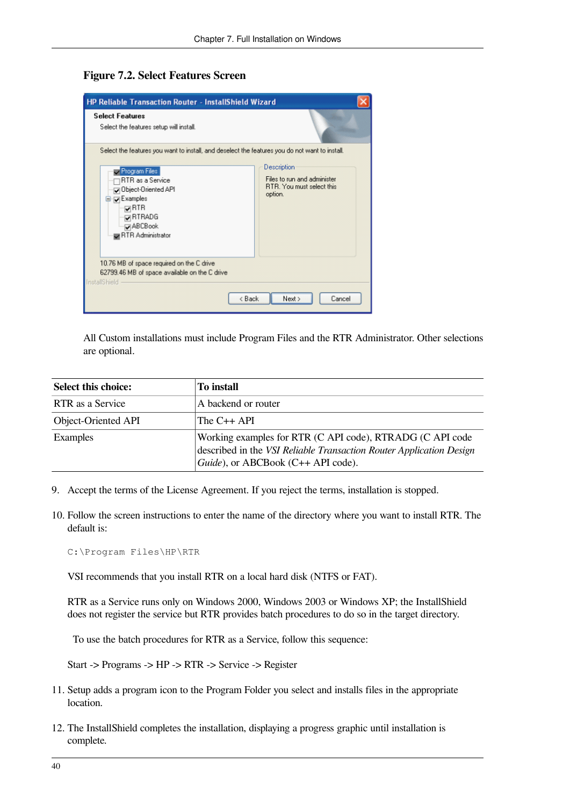#### <span id="page-49-0"></span>**Figure 7.2. Select Features Screen**

| <b>HP Reliable Transaction Router - InstallShield Wizard</b>                                                                                                                                                                                        |                                                                                           |  |  |  |  |
|-----------------------------------------------------------------------------------------------------------------------------------------------------------------------------------------------------------------------------------------------------|-------------------------------------------------------------------------------------------|--|--|--|--|
| <b>Select Features</b><br>Select the features setup will install.                                                                                                                                                                                   |                                                                                           |  |  |  |  |
| Select the features you want to install, and deselect the features you do not want to install.<br>Program Files<br>RTR as a Service<br>Object-Oriented API<br><b>E</b> D Examples<br>⊽RTR<br><b>QRTRADG</b><br><b>DABCBook</b><br>RTR Administrator | Description<br>Files to run and administer<br><b>RTR.</b> You must select this<br>option. |  |  |  |  |
| 10.76 MB of space required on the C drive<br>62799.46 MB of space available on the C drive<br>InstallShield                                                                                                                                         |                                                                                           |  |  |  |  |
| < Back<br>Next ><br>Cancel                                                                                                                                                                                                                          |                                                                                           |  |  |  |  |

All Custom installations must include Program Files and the RTR Administrator. Other selections are optional.

| Select this choice: | To install                                                                                                                                                             |  |  |
|---------------------|------------------------------------------------------------------------------------------------------------------------------------------------------------------------|--|--|
| RTR as a Service    | A backend or router                                                                                                                                                    |  |  |
| Object-Oriented API | The $C++$ API                                                                                                                                                          |  |  |
| Examples            | Working examples for RTR (C API code), RTRADG (C API code<br>described in the VSI Reliable Transaction Router Application Design<br>Guide), or ABCBook (C++ API code). |  |  |

- 9. Accept the terms of the License Agreement. If you reject the terms, installation is stopped.
- 10. Follow the screen instructions to enter the name of the directory where you want to install RTR. The default is:

C:\Program Files\HP\RTR

VSI recommends that you install RTR on a local hard disk (NTFS or FAT).

RTR as a Service runs only on Windows 2000, Windows 2003 or Windows XP; the InstallShield does not register the service but RTR provides batch procedures to do so in the target directory.

To use the batch procedures for RTR as a Service, follow this sequence:

Start -> Programs -> HP -> RTR -> Service -> Register

- 11. Setup adds a program icon to the Program Folder you select and installs files in the appropriate location.
- 12. The InstallShield completes the installation, displaying a progress graphic until installation is complete.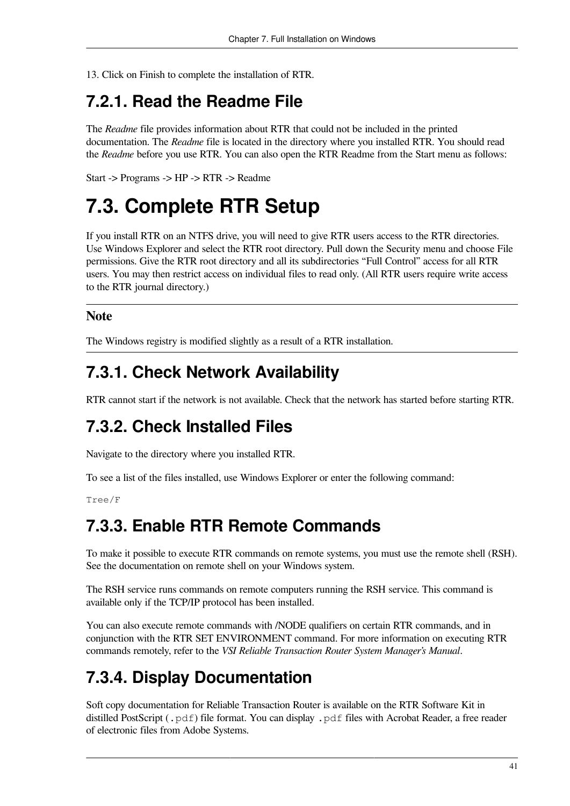13. Click on Finish to complete the installation of RTR.

## <span id="page-50-0"></span>**7.2.1. Read the Readme File**

The *Readme* file provides information about RTR that could not be included in the printed documentation. The *Readme* file is located in the directory where you installed RTR. You should read the *Readme* before you use RTR. You can also open the RTR Readme from the Start menu as follows:

Start -> Programs -> HP -> RTR -> Readme

## <span id="page-50-1"></span>**7.3. Complete RTR Setup**

If you install RTR on an NTFS drive, you will need to give RTR users access to the RTR directories. Use Windows Explorer and select the RTR root directory. Pull down the Security menu and choose File permissions. Give the RTR root directory and all its subdirectories "Full Control" access for all RTR users. You may then restrict access on individual files to read only. (All RTR users require write access to the RTR journal directory.)

#### **Note**

The Windows registry is modified slightly as a result of a RTR installation.

## <span id="page-50-2"></span>**7.3.1. Check Network Availability**

RTR cannot start if the network is not available. Check that the network has started before starting RTR.

## <span id="page-50-3"></span>**7.3.2. Check Installed Files**

Navigate to the directory where you installed RTR.

To see a list of the files installed, use Windows Explorer or enter the following command:

<span id="page-50-4"></span>Tree/F

### **7.3.3. Enable RTR Remote Commands**

To make it possible to execute RTR commands on remote systems, you must use the remote shell (RSH). See the documentation on remote shell on your Windows system.

The RSH service runs commands on remote computers running the RSH service. This command is available only if the TCP/IP protocol has been installed.

You can also execute remote commands with /NODE qualifiers on certain RTR commands, and in conjunction with the RTR SET ENVIRONMENT command. For more information on executing RTR commands remotely, refer to the *VSI Reliable Transaction Router System Manager's Manual*.

## <span id="page-50-5"></span>**7.3.4. Display Documentation**

Soft copy documentation for Reliable Transaction Router is available on the RTR Software Kit in distilled PostScript (.pdf) file format. You can display .pdf files with Acrobat Reader, a free reader of electronic files from Adobe Systems.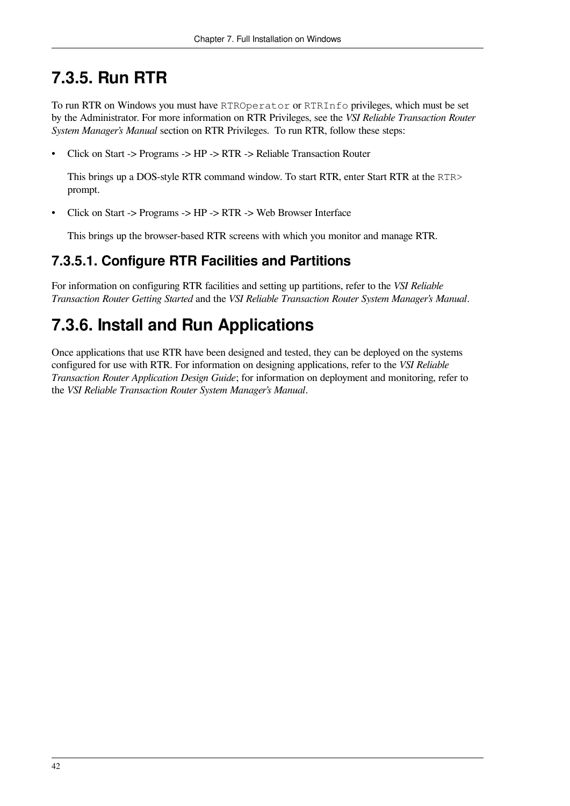## <span id="page-51-0"></span>**7.3.5. Run RTR**

To run RTR on Windows you must have RTROperator or RTRInfo privileges, which must be set by the Administrator. For more information on RTR Privileges, see the *VSI Reliable Transaction Router System Manager's Manual* section on RTR Privileges. To run RTR, follow these steps:

• Click on Start -> Programs -> HP -> RTR -> Reliable Transaction Router

This brings up a DOS-style RTR command window. To start RTR, enter Start RTR at the RTR> prompt.

• Click on Start -> Programs -> HP -> RTR -> Web Browser Interface

This brings up the browser-based RTR screens with which you monitor and manage RTR.

### <span id="page-51-1"></span>**7.3.5.1. Configure RTR Facilities and Partitions**

For information on configuring RTR facilities and setting up partitions, refer to the *VSI Reliable Transaction Router Getting Started* and the *VSI Reliable Transaction Router System Manager's Manual*.

## <span id="page-51-2"></span>**7.3.6. Install and Run Applications**

Once applications that use RTR have been designed and tested, they can be deployed on the systems configured for use with RTR. For information on designing applications, refer to the *VSI Reliable Transaction Router Application Design Guide*; for information on deployment and monitoring, refer to the *VSI Reliable Transaction Router System Manager's Manual*.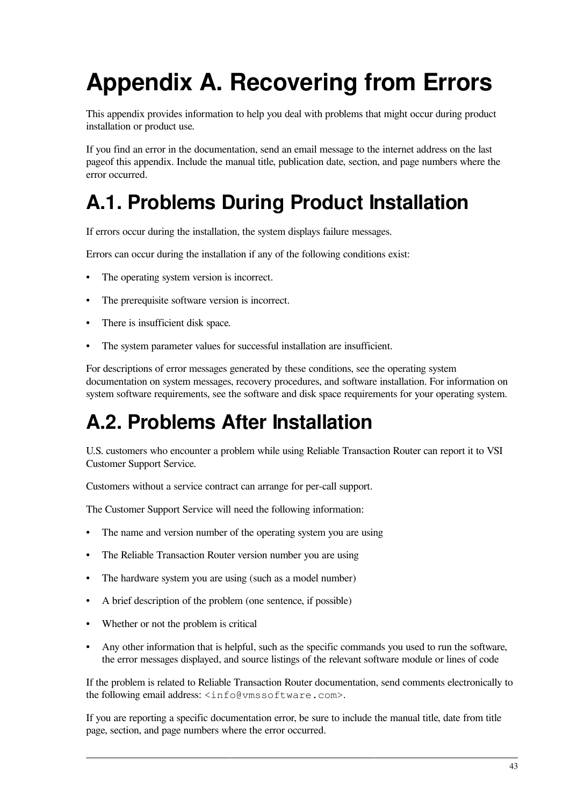# <span id="page-52-0"></span>**Appendix A. Recovering from Errors**

This appendix provides information to help you deal with problems that might occur during product installation or product use.

If you find an error in the documentation, send an email message to the internet address on the last pageof this appendix. Include the manual title, publication date, section, and page numbers where the error occurred.

## <span id="page-52-1"></span>**A.1. Problems During Product Installation**

If errors occur during the installation, the system displays failure messages.

Errors can occur during the installation if any of the following conditions exist:

- The operating system version is incorrect.
- The prerequisite software version is incorrect.
- There is insufficient disk space.
- The system parameter values for successful installation are insufficient.

For descriptions of error messages generated by these conditions, see the operating system documentation on system messages, recovery procedures, and software installation. For information on system software requirements, see the software and disk space requirements for your operating system.

## <span id="page-52-2"></span>**A.2. Problems After Installation**

U.S. customers who encounter a problem while using Reliable Transaction Router can report it to VSI Customer Support Service.

Customers without a service contract can arrange for per-call support.

The Customer Support Service will need the following information:

- The name and version number of the operating system you are using
- The Reliable Transaction Router version number you are using
- The hardware system you are using (such as a model number)
- A brief description of the problem (one sentence, if possible)
- Whether or not the problem is critical
- Any other information that is helpful, such as the specific commands you used to run the software, the error messages displayed, and source listings of the relevant software module or lines of code

If the problem is related to Reliable Transaction Router documentation, send comments electronically to the following email address: <info@vmssoftware.com>.

If you are reporting a specific documentation error, be sure to include the manual title, date from title page, section, and page numbers where the error occurred.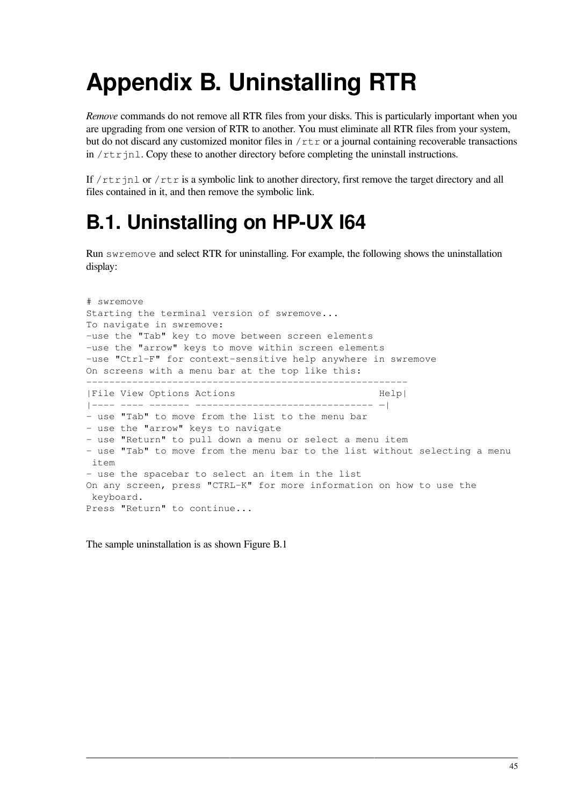# <span id="page-54-0"></span>**Appendix B. Uninstalling RTR**

*Remove* commands do not remove all RTR files from your disks. This is particularly important when you are upgrading from one version of RTR to another. You must eliminate all RTR files from your system, but do not discard any customized monitor files in  $/\tau \tau r$  or a journal containing recoverable transactions in  $/\text{rtr}$  in 1. Copy these to another directory before completing the uninstall instructions.

If /rtrinl or /rtr is a symbolic link to another directory, first remove the target directory and all files contained in it, and then remove the symbolic link.

## <span id="page-54-1"></span>**B.1. Uninstalling on HP-UX I64**

Run swremove and select RTR for uninstalling. For example, the following shows the uninstallation display:

```
# swremove
Starting the terminal version of swremove...
To navigate in swremove:
-use the "Tab" key to move between screen elements
-use the "arrow" keys to move within screen elements
-use "Ctrl-F" for context-sensitive help anywhere in swremove
On screens with a menu bar at the top like this:
--------------------------------------------------------
|File View Options Actions Help|
|---- ---- ------- ------------------------------- —|
- use "Tab" to move from the list to the menu bar
- use the "arrow" keys to navigate
- use "Return" to pull down a menu or select a menu item
- use "Tab" to move from the menu bar to the list without selecting a menu
 item
- use the spacebar to select an item in the list
On any screen, press "CTRL-K" for more information on how to use the
 keyboard.
Press "Return" to continue...
```
The sample uninstallation is as shown [Figure](#page-55-3) B.1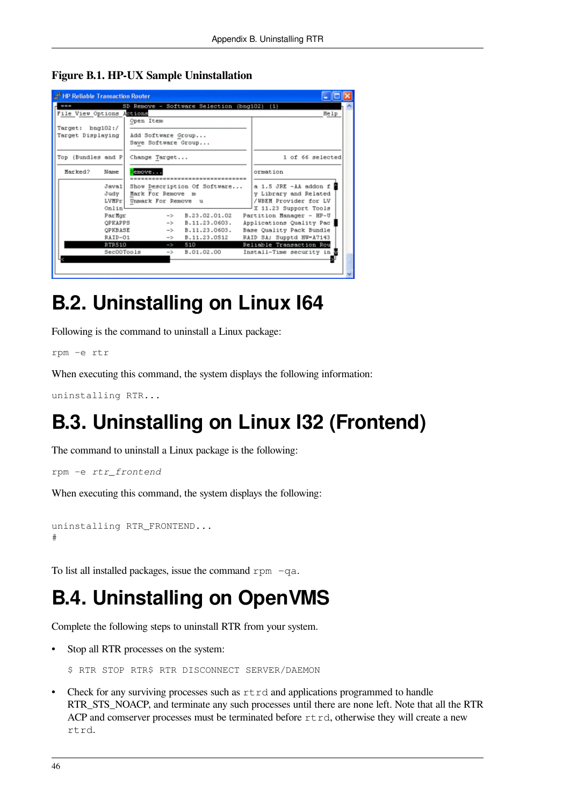<span id="page-55-3"></span>**Figure B.1. HP-UX Sample Uninstallation**

| <b>Et HP Reliable Transaction Router</b> |                     |                                             |                                     |  |  |  |
|------------------------------------------|---------------------|---------------------------------------------|-------------------------------------|--|--|--|
| 世間堂                                      |                     | SD Remove - Software Selection (bng102) (1) |                                     |  |  |  |
| File View Options Actions                |                     |                                             | Help                                |  |  |  |
|                                          | Open Item           |                                             |                                     |  |  |  |
| Target: bng102:/                         |                     |                                             |                                     |  |  |  |
| Target Displaying                        | Add Software Group  |                                             |                                     |  |  |  |
|                                          | Save Software Group |                                             |                                     |  |  |  |
| Top (Bundles and P                       | Change Target       |                                             | 1 of 66 selected                    |  |  |  |
| Marked?<br>Name                          | emove               |                                             | ormation                            |  |  |  |
|                                          |                     |                                             |                                     |  |  |  |
| Java1                                    |                     | Show Description Of Software                | a 1.5 JRE $-A\lambda$ addon f $\Xi$ |  |  |  |
| Judy                                     | Mark For Remove m   |                                             | y Library and Related               |  |  |  |
| <b>LVNPr</b>                             | Unmark For Remove u |                                             | /WBEM Provider for LV               |  |  |  |
| Onlin                                    |                     |                                             | X 11.23 Support Tools               |  |  |  |
| ParMor                                   |                     | $\rightarrow$ B.23.02.01.02                 | Partition Manager - HP-U            |  |  |  |
| OPKAPPS                                  |                     | $-$ B.11.23.0603.                           | Applications Quality Pac            |  |  |  |
| OPKBASE                                  |                     | $-$ B.11.23.0603.                           | Base Quality Pack Bundle            |  |  |  |
| RAID-01                                  |                     | $\rightarrow$ B.11.23.0512                  | RAID SA: Supptd HW=A7143            |  |  |  |
| <b>RTR510</b>                            | $\rightarrow$       | 510 7                                       | Reliable Transaction Rou            |  |  |  |
| Sec00Tools                               | $\rightarrow$       | B.01.02.00                                  | Install-Time security in E          |  |  |  |
|                                          |                     |                                             |                                     |  |  |  |
|                                          |                     |                                             |                                     |  |  |  |
|                                          |                     |                                             |                                     |  |  |  |

## <span id="page-55-0"></span>**B.2. Uninstalling on Linux I64**

Following is the command to uninstall a Linux package:

rpm -e rtr

When executing this command, the system displays the following information:

```
uninstalling RTR...
```
## <span id="page-55-1"></span>**B.3. Uninstalling on Linux I32 (Frontend)**

The command to uninstall a Linux package is the following:

rpm -e *rtr\_frontend*

When executing this command, the system displays the following:

```
uninstalling RTR_FRONTEND...
#
```
To list all installed packages, issue the command rpm  $-qa$ .

## <span id="page-55-2"></span>**B.4. Uninstalling on OpenVMS**

Complete the following steps to uninstall RTR from your system.

Stop all RTR processes on the system:

```
$ RTR STOP RTR$ RTR DISCONNECT SERVER/DAEMON
```
Check for any surviving processes such as  $r \text{trd}$  and applications programmed to handle RTR\_STS\_NOACP, and terminate any such processes until there are none left. Note that all the RTR ACP and comserver processes must be terminated before  $r \text{trd}$ , otherwise they will create a new rtrd.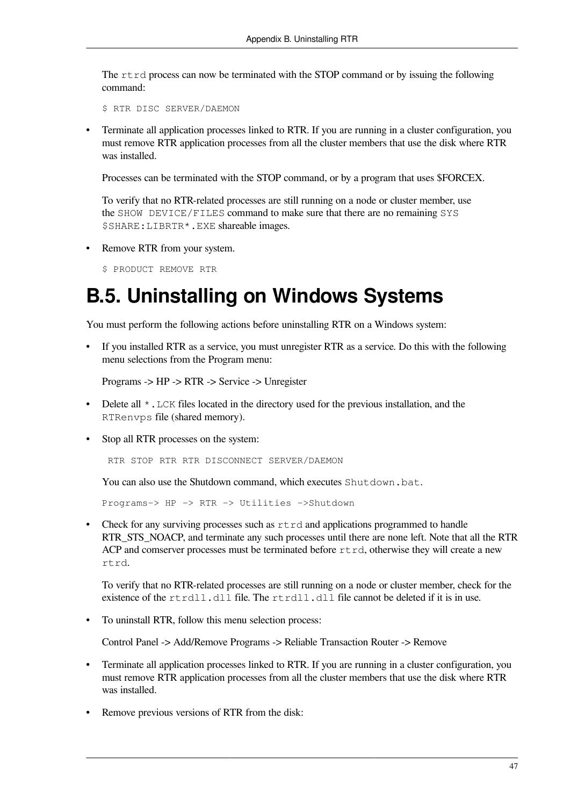The  $r \text{trd}$  process can now be terminated with the STOP command or by issuing the following command:

\$ RTR DISC SERVER/DAEMON

• Terminate all application processes linked to RTR. If you are running in a cluster configuration, you must remove RTR application processes from all the cluster members that use the disk where RTR was installed.

Processes can be terminated with the STOP command, or by a program that uses \$FORCEX.

To verify that no RTR-related processes are still running on a node or cluster member, use the SHOW DEVICE/FILES command to make sure that there are no remaining SYS \$SHARE:LIBRTR\*.EXE shareable images.

• Remove RTR from your system.

\$ PRODUCT REMOVE RTR

## <span id="page-56-0"></span>**B.5. Uninstalling on Windows Systems**

You must perform the following actions before uninstalling RTR on a Windows system:

• If you installed RTR as a service, you must unregister RTR as a service. Do this with the following menu selections from the Program menu:

Programs -> HP -> RTR -> Service -> Unregister

- Delete all  $\star$ . LCK files located in the directory used for the previous installation, and the RTRenvps file (shared memory).
- Stop all RTR processes on the system:

RTR STOP RTR RTR DISCONNECT SERVER/DAEMON

You can also use the Shutdown command, which executes Shutdown.bat.

Programs-> HP -> RTR -> Utilities ->Shutdown

• Check for any surviving processes such as  $rtrd$  and applications programmed to handle RTR\_STS\_NOACP, and terminate any such processes until there are none left. Note that all the RTR ACP and comserver processes must be terminated before  $r$ t $r$ d, otherwise they will create a new rtrd.

To verify that no RTR-related processes are still running on a node or cluster member, check for the existence of the  $rtrd11$ , dl I file. The  $rtrd11$ , dl I file cannot be deleted if it is in use.

• To uninstall RTR, follow this menu selection process:

Control Panel -> Add/Remove Programs -> Reliable Transaction Router -> Remove

- Terminate all application processes linked to RTR. If you are running in a cluster configuration, you must remove RTR application processes from all the cluster members that use the disk where RTR was installed.
- Remove previous versions of RTR from the disk: